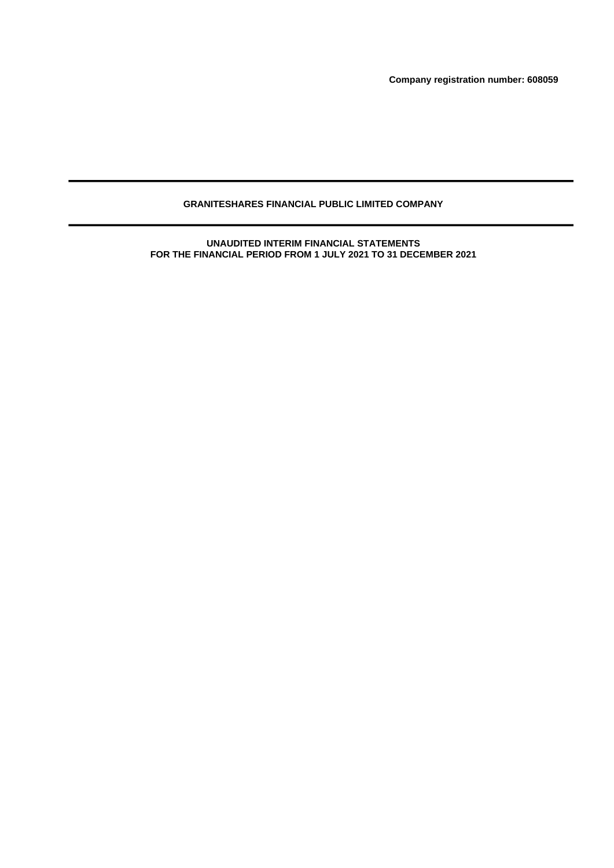**Company registration number: 608059**

# **GRANITESHARES FINANCIAL PUBLIC LIMITED COMPANY**

**UNAUDITED INTERIM FINANCIAL STATEMENTS FOR THE FINANCIAL PERIOD FROM 1 JULY 2021 TO 31 DECEMBER 2021**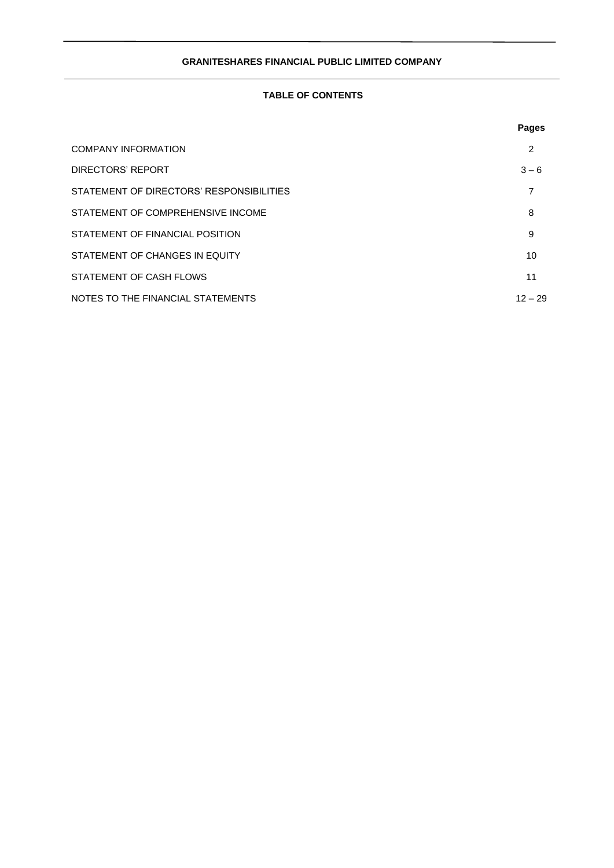# **TABLE OF CONTENTS**

|                                          | <b>Pages</b> |
|------------------------------------------|--------------|
| <b>COMPANY INFORMATION</b>               | 2            |
| DIRECTORS' REPORT                        | $3 - 6$      |
| STATEMENT OF DIRECTORS' RESPONSIBILITIES | 7            |
| STATEMENT OF COMPREHENSIVE INCOME        | 8            |
| STATEMENT OF FINANCIAL POSITION          | 9            |
| STATEMENT OF CHANGES IN EQUITY           | 10           |
| STATEMENT OF CASH FLOWS                  | 11           |
| NOTES TO THE FINANCIAL STATEMENTS        | $12 - 29$    |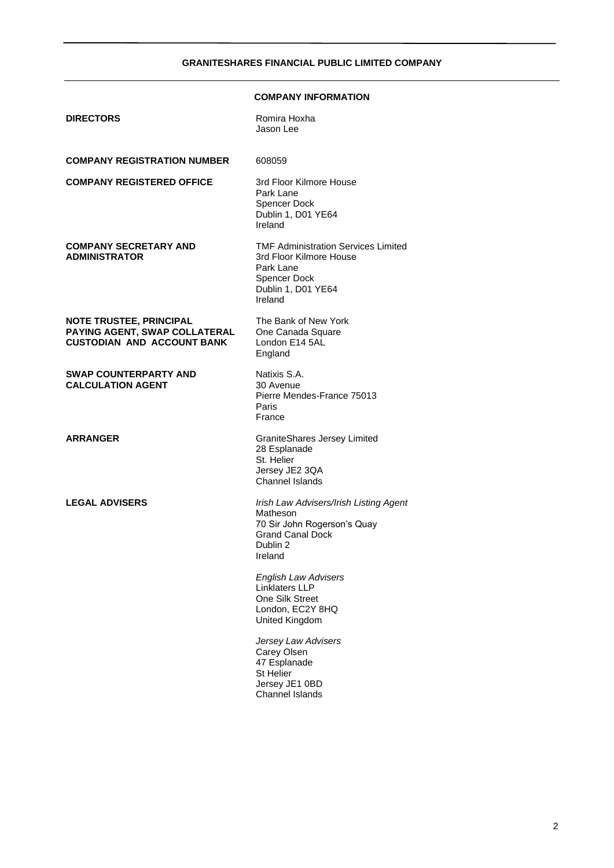# **COMPANY INFORMATION**

| <b>DIRECTORS</b>                                                                                     | Romira Hoxha<br>Jason Lee                                                                                                           |
|------------------------------------------------------------------------------------------------------|-------------------------------------------------------------------------------------------------------------------------------------|
| <b>COMPANY REGISTRATION NUMBER</b>                                                                   | 608059                                                                                                                              |
| <b>COMPANY REGISTERED OFFICE</b>                                                                     | 3rd Floor Kilmore House<br>Park Lane<br>Spencer Dock<br>Dublin 1, D01 YE64<br>Ireland                                               |
| <b>COMPANY SECRETARY AND</b><br><b>ADMINISTRATOR</b>                                                 | <b>TMF Administration Services Limited</b><br>3rd Floor Kilmore House<br>Park Lane<br>Spencer Dock<br>Dublin 1, D01 YE64<br>Ireland |
| <b>NOTE TRUSTEE, PRINCIPAL</b><br>PAYING AGENT, SWAP COLLATERAL<br><b>CUSTODIAN AND ACCOUNT BANK</b> | The Bank of New York<br>One Canada Square<br>London E14 5AL<br>England                                                              |
| <b>SWAP COUNTERPARTY AND</b><br><b>CALCULATION AGENT</b>                                             | Natixis S.A.<br>30 Avenue<br>Pierre Mendes-France 75013<br>Paris<br>France                                                          |
| <b>ARRANGER</b>                                                                                      | <b>GraniteShares Jersey Limited</b><br>28 Esplanade<br>St. Helier<br>Jersey JE2 3QA<br><b>Channel Islands</b>                       |
| <b>LEGAL ADVISERS</b>                                                                                | Irish Law Advisers/Irish Listing Agent<br>Matheson<br>70 Sir John Rogerson's Quay<br><b>Grand Canal Dock</b><br>Dublin 2<br>Ireland |
|                                                                                                      | <b>English Law Advisers</b><br>Linklaters LLP<br>One Silk Street<br>London, EC2Y 8HQ<br>United Kingdom                              |
|                                                                                                      | Jersey Law Advisers<br>Carey Olsen<br>47 Esplanade<br><b>St Helier</b><br>Jersey JE1 0BD<br>Channel Islands                         |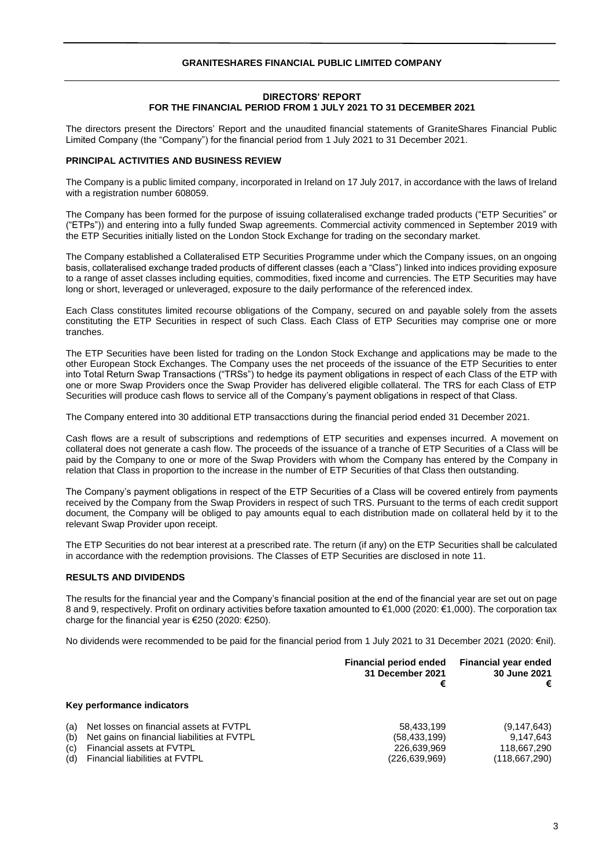## **DIRECTORS' REPORT FOR THE FINANCIAL PERIOD FROM 1 JULY 2021 TO 31 DECEMBER 2021**

The directors present the Directors' Report and the unaudited financial statements of GraniteShares Financial Public Limited Company (the "Company") for the financial period from 1 July 2021 to 31 December 2021.

## **PRINCIPAL ACTIVITIES AND BUSINESS REVIEW**

The Company is a public limited company, incorporated in Ireland on 17 July 2017, in accordance with the laws of Ireland with a registration number 608059.

The Company has been formed for the purpose of issuing collateralised exchange traded products ("ETP Securities" or ("ETPs")) and entering into a fully funded Swap agreements. Commercial activity commenced in September 2019 with the ETP Securities initially listed on the London Stock Exchange for trading on the secondary market.

The Company established a Collateralised ETP Securities Programme under which the Company issues, on an ongoing basis, collateralised exchange traded products of different classes (each a "Class") linked into indices providing exposure to a range of asset classes including equities, commodities, fixed income and currencies. The ETP Securities may have long or short, leveraged or unleveraged, exposure to the daily performance of the referenced index.

Each Class constitutes limited recourse obligations of the Company, secured on and payable solely from the assets constituting the ETP Securities in respect of such Class. Each Class of ETP Securities may comprise one or more tranches.

The ETP Securities have been listed for trading on the London Stock Exchange and applications may be made to the other European Stock Exchanges. The Company uses the net proceeds of the issuance of the ETP Securities to enter into Total Return Swap Transactions ("TRSs") to hedge its payment obligations in respect of each Class of the ETP with one or more Swap Providers once the Swap Provider has delivered eligible collateral. The TRS for each Class of ETP Securities will produce cash flows to service all of the Company's payment obligations in respect of that Class.

The Company entered into 30 additional ETP transacctions during the financial period ended 31 December 2021.

Cash flows are a result of subscriptions and redemptions of ETP securities and expenses incurred. A movement on collateral does not generate a cash flow. The proceeds of the issuance of a tranche of ETP Securities of a Class will be paid by the Company to one or more of the Swap Providers with whom the Company has entered by the Company in relation that Class in proportion to the increase in the number of ETP Securities of that Class then outstanding.

The Company's payment obligations in respect of the ETP Securities of a Class will be covered entirely from payments received by the Company from the Swap Providers in respect of such TRS. Pursuant to the terms of each credit support document, the Company will be obliged to pay amounts equal to each distribution made on collateral held by it to the relevant Swap Provider upon receipt.

The ETP Securities do not bear interest at a prescribed rate. The return (if any) on the ETP Securities shall be calculated in accordance with the redemption provisions. The Classes of ETP Securities are disclosed in note 11.

## **RESULTS AND DIVIDENDS**

The results for the financial year and the Company's financial position at the end of the financial year are set out on page 8 and 9, respectively. Profit on ordinary activities before taxation amounted to €1,000 (2020: €1,000). The corporation tax charge for the financial year is  $\epsilon$ 250 (2020:  $\epsilon$ 250).

No dividends were recommended to be paid for the financial period from 1 July 2021 to 31 December 2021 (2020: €nil).

|     |                                             | Financial period ended<br>31 December 2021<br>€ | <b>Financial year ended</b><br>30 June 2021<br>€ |
|-----|---------------------------------------------|-------------------------------------------------|--------------------------------------------------|
|     | Key performance indicators                  |                                                 |                                                  |
| (a) | Net losses on financial assets at FVTPL     | 58.433.199                                      | (9, 147, 643)                                    |
| (b) | Net gains on financial liabilities at FVTPL | (58, 433, 199)                                  | 9.147.643                                        |
| (c) | Financial assets at FVTPL                   | 226.639.969                                     | 118,667,290                                      |
| (d) | Financial liabilities at FVTPL              | (226.639.969)                                   | (118.667.290)                                    |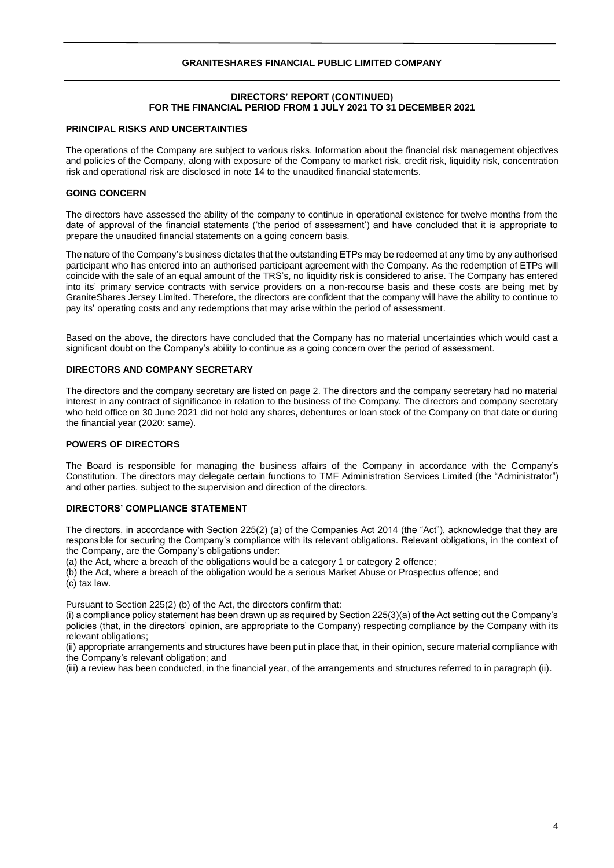## **DIRECTORS' REPORT (CONTINUED) FOR THE FINANCIAL PERIOD FROM 1 JULY 2021 TO 31 DECEMBER 2021**

## **PRINCIPAL RISKS AND UNCERTAINTIES**

The operations of the Company are subject to various risks. Information about the financial risk management objectives and policies of the Company, along with exposure of the Company to market risk, credit risk, liquidity risk, concentration risk and operational risk are disclosed in note 14 to the unaudited financial statements.

## **GOING CONCERN**

The directors have assessed the ability of the company to continue in operational existence for twelve months from the date of approval of the financial statements ('the period of assessment') and have concluded that it is appropriate to prepare the unaudited financial statements on a going concern basis.

The nature of the Company's business dictates that the outstanding ETPs may be redeemed at any time by any authorised participant who has entered into an authorised participant agreement with the Company. As the redemption of ETPs will coincide with the sale of an equal amount of the TRS's, no liquidity risk is considered to arise. The Company has entered into its' primary service contracts with service providers on a non-recourse basis and these costs are being met by GraniteShares Jersey Limited. Therefore, the directors are confident that the company will have the ability to continue to pay its' operating costs and any redemptions that may arise within the period of assessment.

Based on the above, the directors have concluded that the Company has no material uncertainties which would cast a significant doubt on the Company's ability to continue as a going concern over the period of assessment.

## **DIRECTORS AND COMPANY SECRETARY**

The directors and the company secretary are listed on page 2. The directors and the company secretary had no material interest in any contract of significance in relation to the business of the Company. The directors and company secretary who held office on 30 June 2021 did not hold any shares, debentures or loan stock of the Company on that date or during the financial year (2020: same).

## **POWERS OF DIRECTORS**

The Board is responsible for managing the business affairs of the Company in accordance with the Company's Constitution. The directors may delegate certain functions to TMF Administration Services Limited (the "Administrator") and other parties, subject to the supervision and direction of the directors.

## **DIRECTORS' COMPLIANCE STATEMENT**

The directors, in accordance with Section 225(2) (a) of the Companies Act 2014 (the "Act"), acknowledge that they are responsible for securing the Company's compliance with its relevant obligations. Relevant obligations, in the context of the Company, are the Company's obligations under:

(a) the Act, where a breach of the obligations would be a category 1 or category 2 offence;

(b) the Act, where a breach of the obligation would be a serious Market Abuse or Prospectus offence; and (c) tax law.

Pursuant to Section 225(2) (b) of the Act, the directors confirm that:

(i) a compliance policy statement has been drawn up as required by Section 225(3)(a) of the Act setting out the Company's policies (that, in the directors' opinion, are appropriate to the Company) respecting compliance by the Company with its relevant obligations;

(ii) appropriate arrangements and structures have been put in place that, in their opinion, secure material compliance with the Company's relevant obligation; and

(iii) a review has been conducted, in the financial year, of the arrangements and structures referred to in paragraph (ii).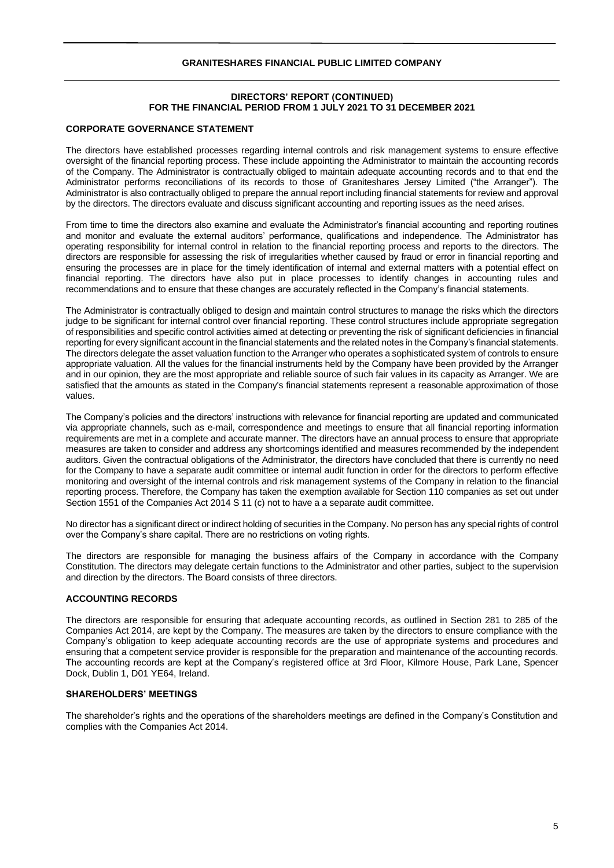## **DIRECTORS' REPORT (CONTINUED) FOR THE FINANCIAL PERIOD FROM 1 JULY 2021 TO 31 DECEMBER 2021**

## **CORPORATE GOVERNANCE STATEMENT**

The directors have established processes regarding internal controls and risk management systems to ensure effective oversight of the financial reporting process. These include appointing the Administrator to maintain the accounting records of the Company. The Administrator is contractually obliged to maintain adequate accounting records and to that end the Administrator performs reconciliations of its records to those of Graniteshares Jersey Limited ("the Arranger"). The Administrator is also contractually obliged to prepare the annual report including financial statements for review and approval by the directors. The directors evaluate and discuss significant accounting and reporting issues as the need arises.

From time to time the directors also examine and evaluate the Administrator's financial accounting and reporting routines and monitor and evaluate the external auditors' performance, qualifications and independence. The Administrator has operating responsibility for internal control in relation to the financial reporting process and reports to the directors. The directors are responsible for assessing the risk of irregularities whether caused by fraud or error in financial reporting and ensuring the processes are in place for the timely identification of internal and external matters with a potential effect on financial reporting. The directors have also put in place processes to identify changes in accounting rules and recommendations and to ensure that these changes are accurately reflected in the Company's financial statements.

The Administrator is contractually obliged to design and maintain control structures to manage the risks which the directors judge to be significant for internal control over financial reporting. These control structures include appropriate segregation of responsibilities and specific control activities aimed at detecting or preventing the risk of significant deficiencies in financial reporting for every significant account in the financial statements and the related notes in the Company's financial statements. The directors delegate the asset valuation function to the Arranger who operates a sophisticated system of controls to ensure appropriate valuation. All the values for the financial instruments held by the Company have been provided by the Arranger and in our opinion, they are the most appropriate and reliable source of such fair values in its capacity as Arranger. We are satisfied that the amounts as stated in the Company's financial statements represent a reasonable approximation of those values.

The Company's policies and the directors' instructions with relevance for financial reporting are updated and communicated via appropriate channels, such as e-mail, correspondence and meetings to ensure that all financial reporting information requirements are met in a complete and accurate manner. The directors have an annual process to ensure that appropriate measures are taken to consider and address any shortcomings identified and measures recommended by the independent auditors. Given the contractual obligations of the Administrator, the directors have concluded that there is currently no need for the Company to have a separate audit committee or internal audit function in order for the directors to perform effective monitoring and oversight of the internal controls and risk management systems of the Company in relation to the financial reporting process. Therefore, the Company has taken the exemption available for Section 110 companies as set out under Section 1551 of the Companies Act 2014 S 11 (c) not to have a a separate audit committee.

No director has a significant direct or indirect holding of securities in the Company. No person has any special rights of control over the Company's share capital. There are no restrictions on voting rights.

The directors are responsible for managing the business affairs of the Company in accordance with the Company Constitution. The directors may delegate certain functions to the Administrator and other parties, subject to the supervision and direction by the directors. The Board consists of three directors.

## **ACCOUNTING RECORDS**

The directors are responsible for ensuring that adequate accounting records, as outlined in Section 281 to 285 of the Companies Act 2014, are kept by the Company. The measures are taken by the directors to ensure compliance with the Company's obligation to keep adequate accounting records are the use of appropriate systems and procedures and ensuring that a competent service provider is responsible for the preparation and maintenance of the accounting records. The accounting records are kept at the Company's registered office at 3rd Floor, Kilmore House, Park Lane, Spencer Dock, Dublin 1, D01 YE64, Ireland.

## **SHAREHOLDERS' MEETINGS**

The shareholder's rights and the operations of the shareholders meetings are defined in the Company's Constitution and complies with the Companies Act 2014.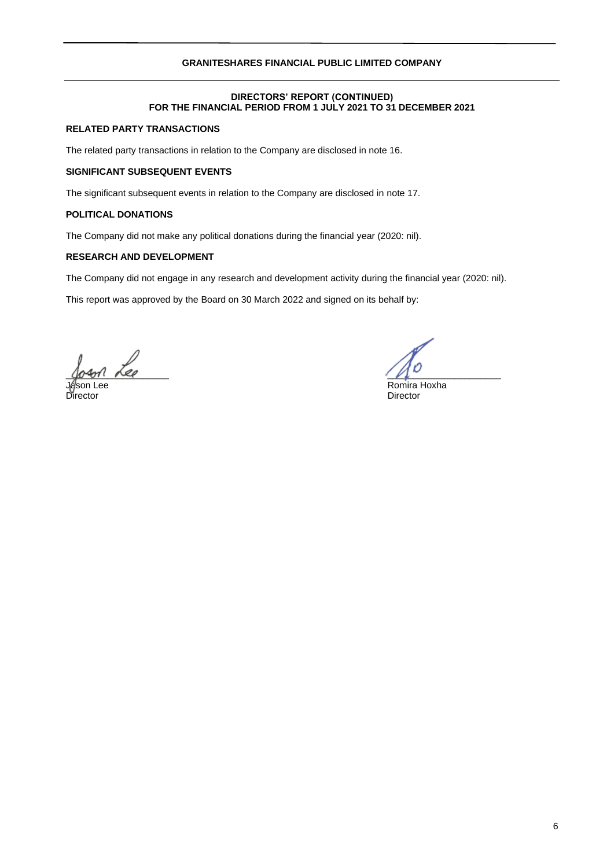## **DIRECTORS' REPORT (CONTINUED) FOR THE FINANCIAL PERIOD FROM 1 JULY 2021 TO 31 DECEMBER 2021**

## **RELATED PARTY TRANSACTIONS**

The related party transactions in relation to the Company are disclosed in note 16.

## **SIGNIFICANT SUBSEQUENT EVENTS**

The significant subsequent events in relation to the Company are disclosed in note 17.

## **POLITICAL DONATIONS**

The Company did not make any political donations during the financial year (2020: nil).

# **RESEARCH AND DEVELOPMENT**

The Company did not engage in any research and development activity during the financial year (2020: nil).

This report was approved by the Board on 30 March 2022 and signed on its behalf by:

 $\frac{1}{2}$ 

Director Director

Jason Lee Romira Hoxha (1999), and the Communication of the Romira Hoxha (1999), and the Communication of the Communication of the Communication of the Communication of the Communication of the Communication of the Communi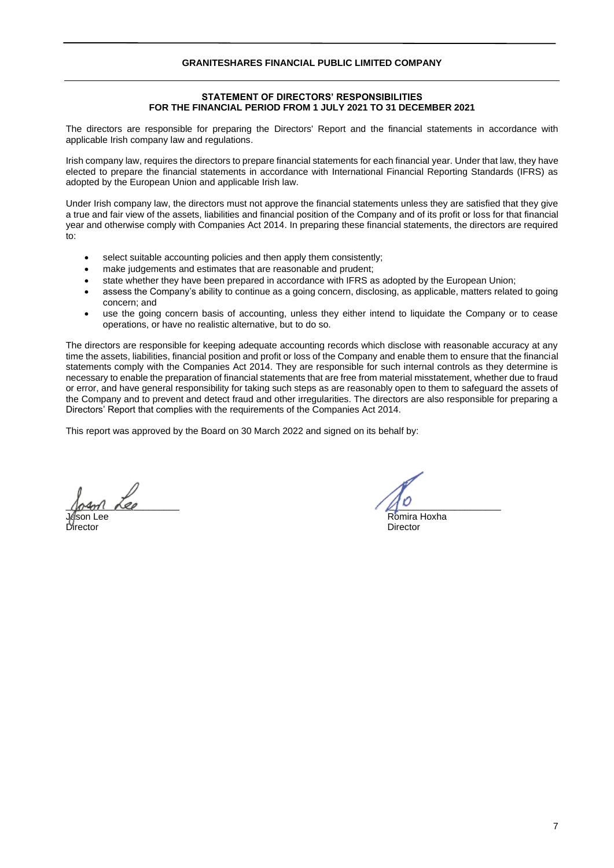## **STATEMENT OF DIRECTORS' RESPONSIBILITIES FOR THE FINANCIAL PERIOD FROM 1 JULY 2021 TO 31 DECEMBER 2021**

The directors are responsible for preparing the Directors' Report and the financial statements in accordance with applicable Irish company law and regulations.

Irish company law, requires the directors to prepare financial statements for each financial year. Under that law, they have elected to prepare the financial statements in accordance with International Financial Reporting Standards (IFRS) as adopted by the European Union and applicable Irish law.

Under Irish company law, the directors must not approve the financial statements unless they are satisfied that they give a true and fair view of the assets, liabilities and financial position of the Company and of its profit or loss for that financial year and otherwise comply with Companies Act 2014. In preparing these financial statements, the directors are required  $t^{\circ}$ 

- select suitable accounting policies and then apply them consistently;
- make judgements and estimates that are reasonable and prudent:
- state whether they have been prepared in accordance with IFRS as adopted by the European Union;
- assess the Company's ability to continue as a going concern, disclosing, as applicable, matters related to going concern; and
- use the going concern basis of accounting, unless they either intend to liquidate the Company or to cease operations, or have no realistic alternative, but to do so.

The directors are responsible for keeping adequate accounting records which disclose with reasonable accuracy at any time the assets, liabilities, financial position and profit or loss of the Company and enable them to ensure that the financial statements comply with the Companies Act 2014. They are responsible for such internal controls as they determine is necessary to enable the preparation of financial statements that are free from material misstatement, whether due to fraud or error, and have general responsibility for taking such steps as are reasonably open to them to safeguard the assets of the Company and to prevent and detect fraud and other irregularities. The directors are also responsible for preparing a Directors' Report that complies with the requirements of the Companies Act 2014.

This report was approved by the Board on 30 March 2022 and signed on its behalf by:

 $\frac{1}{2}$ 

Romira Hoxha Director Director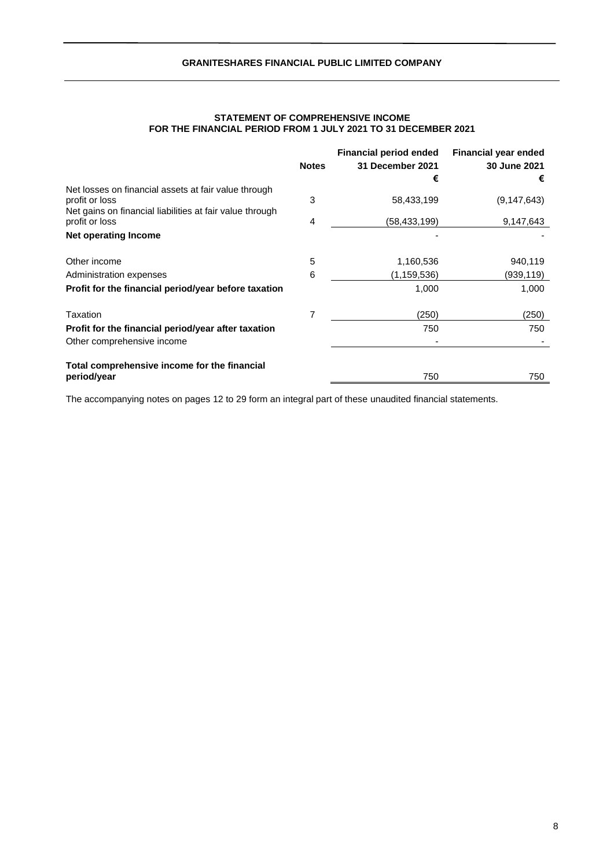|                                                                                                                                    | <b>Notes</b> | <b>Financial period ended</b><br>31 December 2021 | <b>Financial year ended</b><br>30 June 2021 |
|------------------------------------------------------------------------------------------------------------------------------------|--------------|---------------------------------------------------|---------------------------------------------|
|                                                                                                                                    |              | €                                                 | €                                           |
| Net losses on financial assets at fair value through<br>profit or loss<br>Net gains on financial liabilities at fair value through | 3            | 58,433,199                                        | (9, 147, 643)                               |
| profit or loss                                                                                                                     | 4            | (58,433,199)                                      | 9,147,643                                   |
| Net operating Income                                                                                                               |              |                                                   |                                             |
| Other income                                                                                                                       | 5            | 1,160,536                                         | 940,119                                     |
| Administration expenses                                                                                                            | 6            | (1,159,536)                                       | (939,119)                                   |
| Profit for the financial period/year before taxation                                                                               |              | 1,000                                             | 1,000                                       |
| Taxation                                                                                                                           | 7            | (250)                                             | (250)                                       |
| Profit for the financial period/year after taxation                                                                                |              | 750                                               | 750                                         |
| Other comprehensive income                                                                                                         |              |                                                   |                                             |
| Total comprehensive income for the financial                                                                                       |              |                                                   |                                             |
| period/year                                                                                                                        |              | 750                                               | 750                                         |

## **STATEMENT OF COMPREHENSIVE INCOME FOR THE FINANCIAL PERIOD FROM 1 JULY 2021 TO 31 DECEMBER 2021**

The accompanying notes on pages 12 to 29 form an integral part of these unaudited financial statements.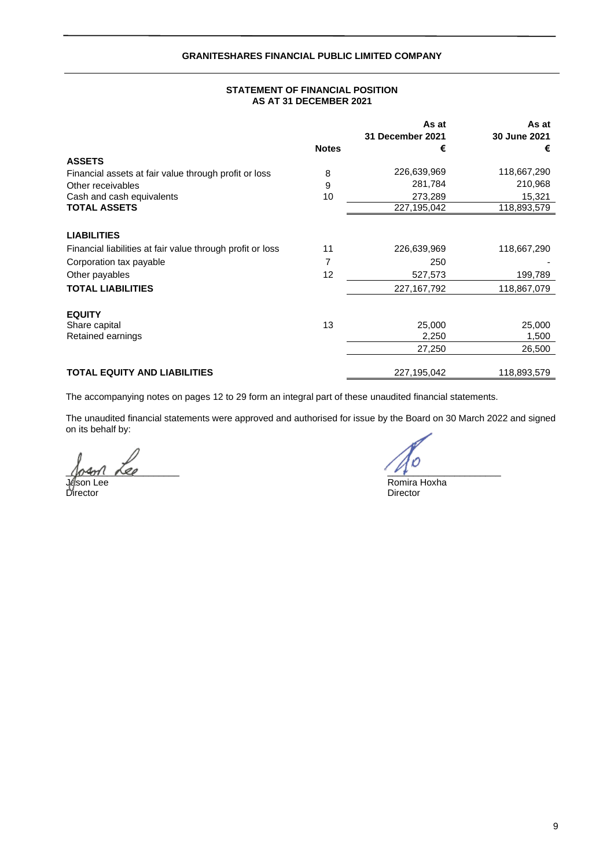## **STATEMENT OF FINANCIAL POSITION AS AT 31 DECEMBER 2021**

|                                                            |              | As at            | As at        |
|------------------------------------------------------------|--------------|------------------|--------------|
|                                                            |              | 31 December 2021 | 30 June 2021 |
|                                                            | <b>Notes</b> | €                | €            |
| <b>ASSETS</b>                                              |              |                  |              |
| Financial assets at fair value through profit or loss      | 8            | 226,639,969      | 118,667,290  |
| Other receivables                                          | 9            | 281,784          | 210,968      |
| Cash and cash equivalents                                  | 10           | 273,289          | 15,321       |
| <b>TOTAL ASSETS</b>                                        |              | 227,195,042      | 118,893,579  |
|                                                            |              |                  |              |
| <b>LIABILITIES</b>                                         |              |                  |              |
| Financial liabilities at fair value through profit or loss | 11           | 226,639,969      | 118,667,290  |
| Corporation tax payable                                    | 7            | 250              |              |
| Other payables                                             | 12           | 527,573          | 199,789      |
| <b>TOTAL LIABILITIES</b>                                   |              | 227, 167, 792    | 118,867,079  |
| <b>EQUITY</b>                                              |              |                  |              |
| Share capital                                              | 13           | 25,000           | 25,000       |
| Retained earnings                                          |              | 2,250            | 1,500        |
|                                                            |              | 27,250           | 26,500       |
|                                                            |              |                  |              |
| <b>TOTAL EQUITY AND LIABILITIES</b>                        |              | 227,195,042      | 118,893,579  |

The accompanying notes on pages 12 to 29 form an integral part of these unaudited financial statements.

The unaudited financial statements were approved and authorised for issue by the Board on 30 March 2022 and signed on its behalf by:

 $10.401$  feed

Director Director

Jeson Lee Romira Hoxha<br>Director Director Director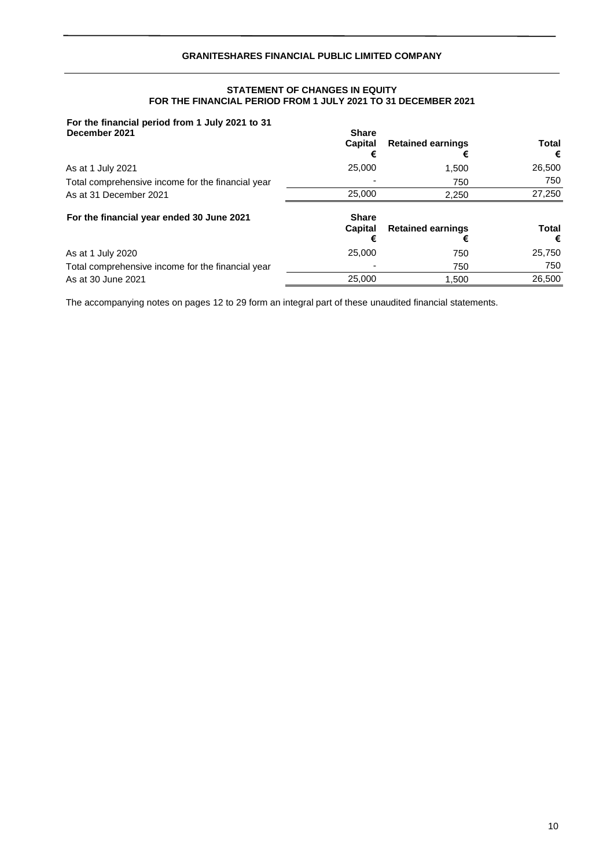## **STATEMENT OF CHANGES IN EQUITY FOR THE FINANCIAL PERIOD FROM 1 JULY 2021 TO 31 DECEMBER 2021**

# **For the financial period from 1 July 2021 to 31**

| December 2021                                     | <b>Share</b><br>Capital<br>€ | <b>Retained earnings</b><br>€ | Total<br>€ |
|---------------------------------------------------|------------------------------|-------------------------------|------------|
| As at 1 July 2021                                 | 25,000                       | 1.500                         | 26,500     |
| Total comprehensive income for the financial year |                              | 750                           | 750        |
| As at 31 December 2021                            | 25,000                       | 2,250                         | 27,250     |
| For the financial year ended 30 June 2021         | <b>Share</b><br>Capital<br>€ | <b>Retained earnings</b><br>€ | Total<br>€ |
| As at 1 July 2020                                 | 25,000                       | 750                           | 25,750     |
| Total comprehensive income for the financial year |                              | 750                           | 750        |
| As at 30 June 2021                                | 25.000                       | 1.500                         | 26,500     |

The accompanying notes on pages 12 to 29 form an integral part of these unaudited financial statements.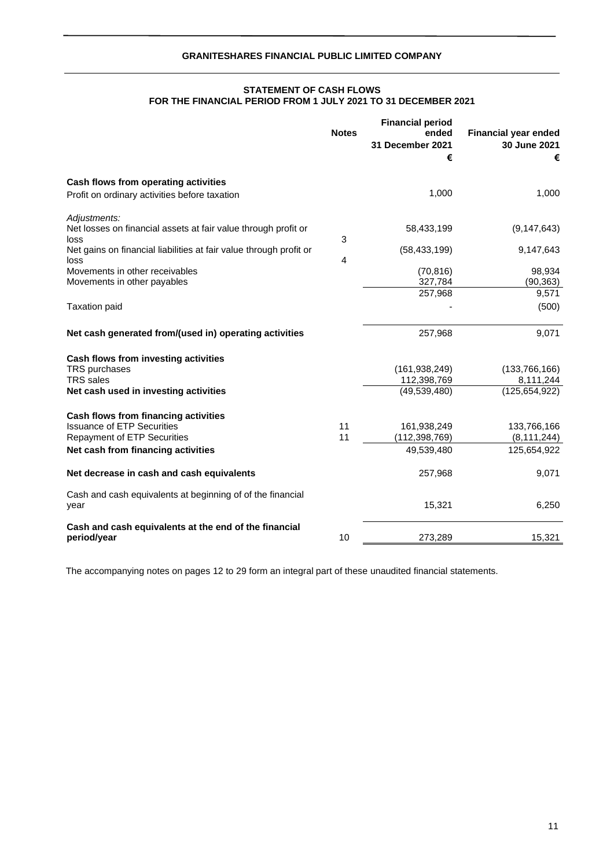## **STATEMENT OF CASH FLOWS FOR THE FINANCIAL PERIOD FROM 1 JULY 2021 TO 31 DECEMBER 2021**

|                                                                                                                                                              | <b>Notes</b> | <b>Financial period</b><br>ended<br>31 December 2021<br>€ | <b>Financial year ended</b><br>30 June 2021<br>€ |
|--------------------------------------------------------------------------------------------------------------------------------------------------------------|--------------|-----------------------------------------------------------|--------------------------------------------------|
| Cash flows from operating activities<br>Profit on ordinary activities before taxation                                                                        |              | 1,000                                                     | 1,000                                            |
| Adjustments:<br>Net losses on financial assets at fair value through profit or<br>loss<br>Net gains on financial liabilities at fair value through profit or | 3            | 58,433,199<br>(58, 433, 199)                              | (9, 147, 643)<br>9,147,643                       |
| loss<br>Movements in other receivables<br>Movements in other payables                                                                                        | 4            | (70, 816)<br>327,784<br>257,968                           | 98,934<br>(90, 363)<br>9,571                     |
| <b>Taxation paid</b>                                                                                                                                         |              |                                                           | (500)                                            |
| Net cash generated from/(used in) operating activities                                                                                                       |              | 257,968                                                   | 9,071                                            |
| Cash flows from investing activities<br>TRS purchases<br><b>TRS</b> sales<br>Net cash used in investing activities                                           |              | (161, 938, 249)<br>112,398,769<br>(49, 539, 480)          | (133,766,166)<br>8,111,244<br>(125, 654, 922)    |
| Cash flows from financing activities<br><b>Issuance of ETP Securities</b><br><b>Repayment of ETP Securities</b><br>Net cash from financing activities        | 11<br>11     | 161,938,249<br>(112, 398, 769)<br>49,539,480              | 133,766,166<br>(8, 111, 244)<br>125,654,922      |
| Net decrease in cash and cash equivalents                                                                                                                    |              | 257,968                                                   | 9,071                                            |
| Cash and cash equivalents at beginning of of the financial<br>year                                                                                           |              | 15,321                                                    | 6,250                                            |
| Cash and cash equivalents at the end of the financial<br>period/year                                                                                         | 10           | 273,289                                                   | 15,321                                           |

The accompanying notes on pages 12 to 29 form an integral part of these unaudited financial statements.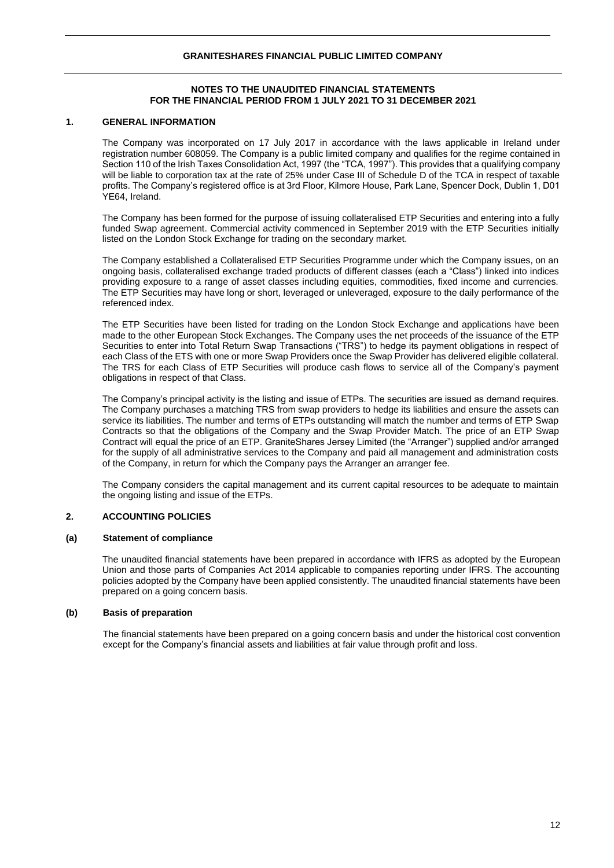## **NOTES TO THE UNAUDITED FINANCIAL STATEMENTS FOR THE FINANCIAL PERIOD FROM 1 JULY 2021 TO 31 DECEMBER 2021**

## **1. GENERAL INFORMATION**

The Company was incorporated on 17 July 2017 in accordance with the laws applicable in Ireland under registration number 608059. The Company is a public limited company and qualifies for the regime contained in Section 110 of the Irish Taxes Consolidation Act, 1997 (the "TCA, 1997"). This provides that a qualifying company will be liable to corporation tax at the rate of 25% under Case III of Schedule D of the TCA in respect of taxable profits. The Company's registered office is at 3rd Floor, Kilmore House, Park Lane, Spencer Dock, Dublin 1, D01 YE64, Ireland.

The Company has been formed for the purpose of issuing collateralised ETP Securities and entering into a fully funded Swap agreement. Commercial activity commenced in September 2019 with the ETP Securities initially listed on the London Stock Exchange for trading on the secondary market.

The Company established a Collateralised ETP Securities Programme under which the Company issues, on an ongoing basis, collateralised exchange traded products of different classes (each a "Class") linked into indices providing exposure to a range of asset classes including equities, commodities, fixed income and currencies. The ETP Securities may have long or short, leveraged or unleveraged, exposure to the daily performance of the referenced index.

The ETP Securities have been listed for trading on the London Stock Exchange and applications have been made to the other European Stock Exchanges. The Company uses the net proceeds of the issuance of the ETP Securities to enter into Total Return Swap Transactions ("TRS") to hedge its payment obligations in respect of each Class of the ETS with one or more Swap Providers once the Swap Provider has delivered eligible collateral. The TRS for each Class of ETP Securities will produce cash flows to service all of the Company's payment obligations in respect of that Class.

The Company's principal activity is the listing and issue of ETPs. The securities are issued as demand requires. The Company purchases a matching TRS from swap providers to hedge its liabilities and ensure the assets can service its liabilities. The number and terms of ETPs outstanding will match the number and terms of ETP Swap Contracts so that the obligations of the Company and the Swap Provider Match. The price of an ETP Swap Contract will equal the price of an ETP. GraniteShares Jersey Limited (the "Arranger") supplied and/or arranged for the supply of all administrative services to the Company and paid all management and administration costs of the Company, in return for which the Company pays the Arranger an arranger fee.

The Company considers the capital management and its current capital resources to be adequate to maintain the ongoing listing and issue of the ETPs.

## **2. ACCOUNTING POLICIES**

## **(a) Statement of compliance**

The unaudited financial statements have been prepared in accordance with IFRS as adopted by the European Union and those parts of Companies Act 2014 applicable to companies reporting under IFRS. The accounting policies adopted by the Company have been applied consistently. The unaudited financial statements have been prepared on a going concern basis.

## **(b) Basis of preparation**

The financial statements have been prepared on a going concern basis and under the historical cost convention except for the Company's financial assets and liabilities at fair value through profit and loss.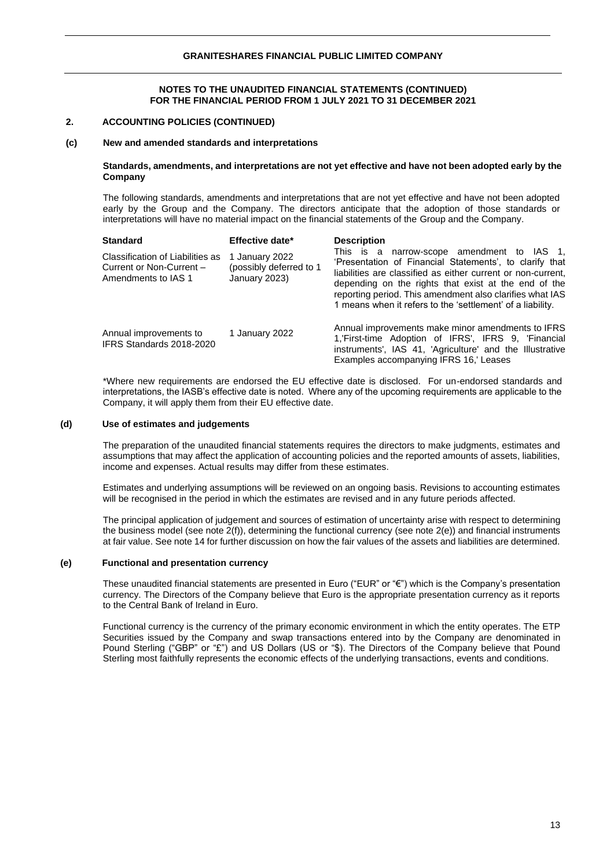## **2. ACCOUNTING POLICIES (CONTINUED)**

#### **(c) New and amended standards and interpretations**

#### **Standards, amendments, and interpretations are not yet effective and have not been adopted early by the Company**

The following standards, amendments and interpretations that are not yet effective and have not been adopted early by the Group and the Company. The directors anticipate that the adoption of those standards or interpretations will have no material impact on the financial statements of the Group and the Company.

| <b>Standard</b>                                                                     | Effective date*                                            | <b>Description</b>                                                                                                                                                                                                                                                                                                                                      |
|-------------------------------------------------------------------------------------|------------------------------------------------------------|---------------------------------------------------------------------------------------------------------------------------------------------------------------------------------------------------------------------------------------------------------------------------------------------------------------------------------------------------------|
| Classification of Liabilities as<br>Current or Non-Current -<br>Amendments to IAS 1 | 1 January 2022<br>(possibly deferred to 1<br>January 2023) | This is a narrow-scope amendment to IAS 1,<br>'Presentation of Financial Statements', to clarify that<br>liabilities are classified as either current or non-current,<br>depending on the rights that exist at the end of the<br>reporting period. This amendment also clarifies what IAS<br>1 means when it refers to the 'settlement' of a liability. |
| Annual improvements to<br>IFRS Standards 2018-2020                                  | 1 January 2022                                             | Annual improvements make minor amendments to IFRS<br>1, First-time Adoption of IFRS', IFRS 9, 'Financial<br>instruments', IAS 41, 'Agriculture' and the Illustrative<br>Examples accompanying IFRS 16, Leases                                                                                                                                           |

\*Where new requirements are endorsed the EU effective date is disclosed. For un-endorsed standards and interpretations, the IASB's effective date is noted. Where any of the upcoming requirements are applicable to the Company, it will apply them from their EU effective date.

#### **(d) Use of estimates and judgements**

The preparation of the unaudited financial statements requires the directors to make judgments, estimates and assumptions that may affect the application of accounting policies and the reported amounts of assets, liabilities, income and expenses. Actual results may differ from these estimates.

Estimates and underlying assumptions will be reviewed on an ongoing basis. Revisions to accounting estimates will be recognised in the period in which the estimates are revised and in any future periods affected.

The principal application of judgement and sources of estimation of uncertainty arise with respect to determining the business model (see note 2(f)), determining the functional currency (see note 2(e)) and financial instruments at fair value. See note 14 for further discussion on how the fair values of the assets and liabilities are determined.

#### **(e) Functional and presentation currency**

These unaudited financial statements are presented in Euro ("EUR" or "€") which is the Company's presentation currency. The Directors of the Company believe that Euro is the appropriate presentation currency as it reports to the Central Bank of Ireland in Euro.

Functional currency is the currency of the primary economic environment in which the entity operates. The ETP Securities issued by the Company and swap transactions entered into by the Company are denominated in Pound Sterling ("GBP" or "£") and US Dollars (US or "\$). The Directors of the Company believe that Pound Sterling most faithfully represents the economic effects of the underlying transactions, events and conditions.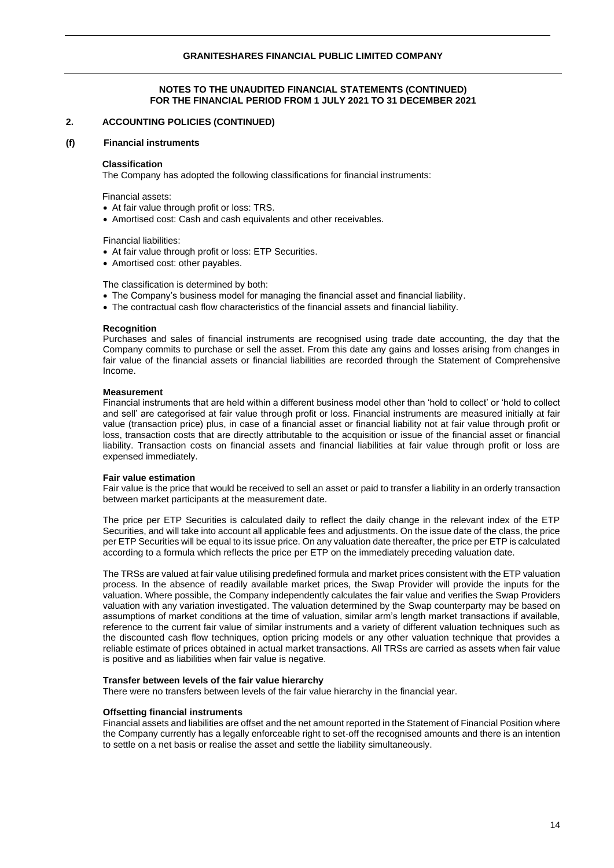## **2. ACCOUNTING POLICIES (CONTINUED)**

#### **(f) Financial instruments**

#### **Classification**

The Company has adopted the following classifications for financial instruments:

Financial assets:

- At fair value through profit or loss: TRS.
- Amortised cost: Cash and cash equivalents and other receivables.

Financial liabilities:

- At fair value through profit or loss: ETP Securities.
- Amortised cost: other payables.

The classification is determined by both:

- The Company's business model for managing the financial asset and financial liability.
- The contractual cash flow characteristics of the financial assets and financial liability.

#### **Recognition**

Purchases and sales of financial instruments are recognised using trade date accounting, the day that the Company commits to purchase or sell the asset. From this date any gains and losses arising from changes in fair value of the financial assets or financial liabilities are recorded through the Statement of Comprehensive Income.

#### **Measurement**

Financial instruments that are held within a different business model other than 'hold to collect' or 'hold to collect and sell' are categorised at fair value through profit or loss. Financial instruments are measured initially at fair value (transaction price) plus, in case of a financial asset or financial liability not at fair value through profit or loss, transaction costs that are directly attributable to the acquisition or issue of the financial asset or financial liability. Transaction costs on financial assets and financial liabilities at fair value through profit or loss are expensed immediately.

#### **Fair value estimation**

Fair value is the price that would be received to sell an asset or paid to transfer a liability in an orderly transaction between market participants at the measurement date.

The price per ETP Securities is calculated daily to reflect the daily change in the relevant index of the ETP Securities, and will take into account all applicable fees and adjustments. On the issue date of the class, the price per ETP Securities will be equal to its issue price. On any valuation date thereafter, the price per ETP is calculated according to a formula which reflects the price per ETP on the immediately preceding valuation date.

The TRSs are valued at fair value utilising predefined formula and market prices consistent with the ETP valuation process. In the absence of readily available market prices, the Swap Provider will provide the inputs for the valuation. Where possible, the Company independently calculates the fair value and verifies the Swap Providers valuation with any variation investigated. The valuation determined by the Swap counterparty may be based on assumptions of market conditions at the time of valuation, similar arm's length market transactions if available, reference to the current fair value of similar instruments and a variety of different valuation techniques such as the discounted cash flow techniques, option pricing models or any other valuation technique that provides a reliable estimate of prices obtained in actual market transactions. All TRSs are carried as assets when fair value is positive and as liabilities when fair value is negative.

#### **Transfer between levels of the fair value hierarchy**

There were no transfers between levels of the fair value hierarchy in the financial year.

#### **Offsetting financial instruments**

Financial assets and liabilities are offset and the net amount reported in the Statement of Financial Position where the Company currently has a legally enforceable right to set-off the recognised amounts and there is an intention to settle on a net basis or realise the asset and settle the liability simultaneously.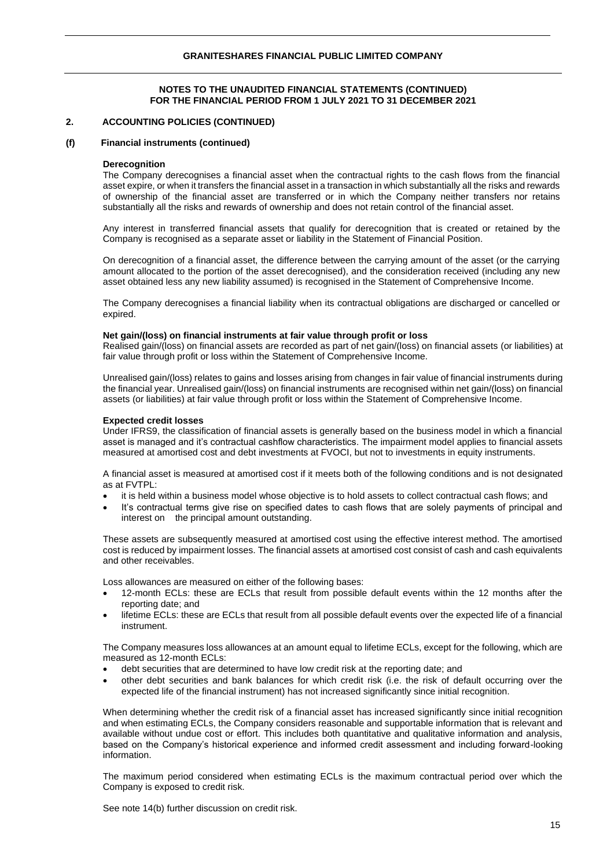## **2. ACCOUNTING POLICIES (CONTINUED)**

#### **(f) Financial instruments (continued)**

#### **Derecognition**

The Company derecognises a financial asset when the contractual rights to the cash flows from the financial asset expire, or when it transfers the financial asset in a transaction in which substantially all the risks and rewards of ownership of the financial asset are transferred or in which the Company neither transfers nor retains substantially all the risks and rewards of ownership and does not retain control of the financial asset.

Any interest in transferred financial assets that qualify for derecognition that is created or retained by the Company is recognised as a separate asset or liability in the Statement of Financial Position.

On derecognition of a financial asset, the difference between the carrying amount of the asset (or the carrying amount allocated to the portion of the asset derecognised), and the consideration received (including any new asset obtained less any new liability assumed) is recognised in the Statement of Comprehensive Income.

The Company derecognises a financial liability when its contractual obligations are discharged or cancelled or expired.

#### **Net gain/(loss) on financial instruments at fair value through profit or loss**

Realised gain/(loss) on financial assets are recorded as part of net gain/(loss) on financial assets (or liabilities) at fair value through profit or loss within the Statement of Comprehensive Income.

Unrealised gain/(loss) relates to gains and losses arising from changes in fair value of financial instruments during the financial year. Unrealised gain/(loss) on financial instruments are recognised within net gain/(loss) on financial assets (or liabilities) at fair value through profit or loss within the Statement of Comprehensive Income.

## **Expected credit losses**

Under IFRS9, the classification of financial assets is generally based on the business model in which a financial asset is managed and it's contractual cashflow characteristics. The impairment model applies to financial assets measured at amortised cost and debt investments at FVOCI, but not to investments in equity instruments.

A financial asset is measured at amortised cost if it meets both of the following conditions and is not designated as at FVTPL:

- it is held within a business model whose objective is to hold assets to collect contractual cash flows; and
- It's contractual terms give rise on specified dates to cash flows that are solely payments of principal and interest on the principal amount outstanding.

These assets are subsequently measured at amortised cost using the effective interest method. The amortised cost is reduced by impairment losses. The financial assets at amortised cost consist of cash and cash equivalents and other receivables.

Loss allowances are measured on either of the following bases:

- 12-month ECLs: these are ECLs that result from possible default events within the 12 months after the reporting date; and
- lifetime ECLs: these are ECLs that result from all possible default events over the expected life of a financial instrument.

The Company measures loss allowances at an amount equal to lifetime ECLs, except for the following, which are measured as 12-month ECLs:

- debt securities that are determined to have low credit risk at the reporting date; and
- other debt securities and bank balances for which credit risk (i.e. the risk of default occurring over the expected life of the financial instrument) has not increased significantly since initial recognition.

When determining whether the credit risk of a financial asset has increased significantly since initial recognition and when estimating ECLs, the Company considers reasonable and supportable information that is relevant and available without undue cost or effort. This includes both quantitative and qualitative information and analysis, based on the Company's historical experience and informed credit assessment and including forward-looking information.

The maximum period considered when estimating ECLs is the maximum contractual period over which the Company is exposed to credit risk.

See note 14(b) further discussion on credit risk.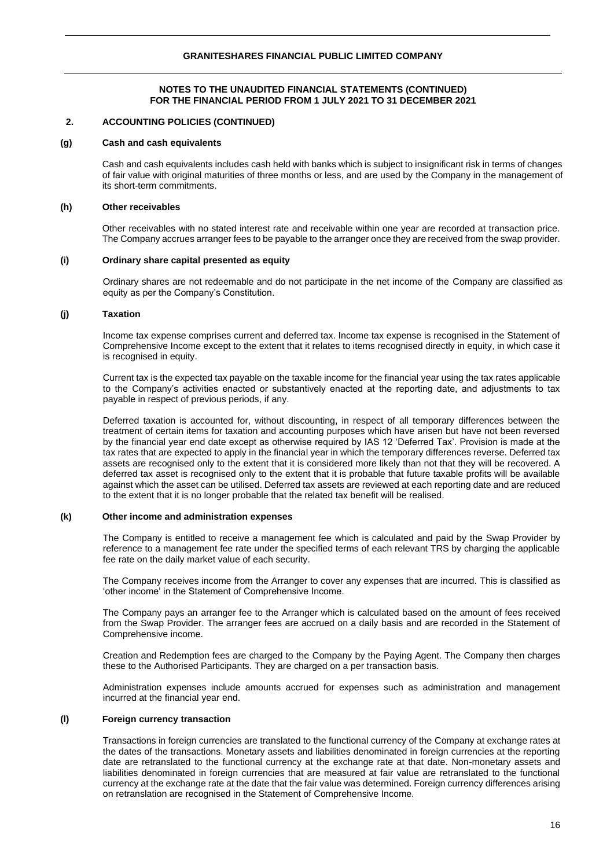## **2. ACCOUNTING POLICIES (CONTINUED)**

#### **(g) Cash and cash equivalents**

Cash and cash equivalents includes cash held with banks which is subject to insignificant risk in terms of changes of fair value with original maturities of three months or less, and are used by the Company in the management of its short-term commitments.

#### **(h) Other receivables**

Other receivables with no stated interest rate and receivable within one year are recorded at transaction price. The Company accrues arranger fees to be payable to the arranger once they are received from the swap provider.

#### **(i) Ordinary share capital presented as equity**

Ordinary shares are not redeemable and do not participate in the net income of the Company are classified as equity as per the Company's Constitution.

## **(j) Taxation**

Income tax expense comprises current and deferred tax. Income tax expense is recognised in the Statement of Comprehensive Income except to the extent that it relates to items recognised directly in equity, in which case it is recognised in equity.

Current tax is the expected tax payable on the taxable income for the financial year using the tax rates applicable to the Company's activities enacted or substantively enacted at the reporting date, and adjustments to tax payable in respect of previous periods, if any.

Deferred taxation is accounted for, without discounting, in respect of all temporary differences between the treatment of certain items for taxation and accounting purposes which have arisen but have not been reversed by the financial year end date except as otherwise required by IAS 12 'Deferred Tax'. Provision is made at the tax rates that are expected to apply in the financial year in which the temporary differences reverse. Deferred tax assets are recognised only to the extent that it is considered more likely than not that they will be recovered. A deferred tax asset is recognised only to the extent that it is probable that future taxable profits will be available against which the asset can be utilised. Deferred tax assets are reviewed at each reporting date and are reduced to the extent that it is no longer probable that the related tax benefit will be realised.

## **(k) Other income and administration expenses**

The Company is entitled to receive a management fee which is calculated and paid by the Swap Provider by reference to a management fee rate under the specified terms of each relevant TRS by charging the applicable fee rate on the daily market value of each security.

The Company receives income from the Arranger to cover any expenses that are incurred. This is classified as 'other income' in the Statement of Comprehensive Income.

The Company pays an arranger fee to the Arranger which is calculated based on the amount of fees received from the Swap Provider. The arranger fees are accrued on a daily basis and are recorded in the Statement of Comprehensive income.

Creation and Redemption fees are charged to the Company by the Paying Agent. The Company then charges these to the Authorised Participants. They are charged on a per transaction basis.

Administration expenses include amounts accrued for expenses such as administration and management incurred at the financial year end.

## **(l) Foreign currency transaction**

Transactions in foreign currencies are translated to the functional currency of the Company at exchange rates at the dates of the transactions. Monetary assets and liabilities denominated in foreign currencies at the reporting date are retranslated to the functional currency at the exchange rate at that date. Non-monetary assets and liabilities denominated in foreign currencies that are measured at fair value are retranslated to the functional currency at the exchange rate at the date that the fair value was determined. Foreign currency differences arising on retranslation are recognised in the Statement of Comprehensive Income.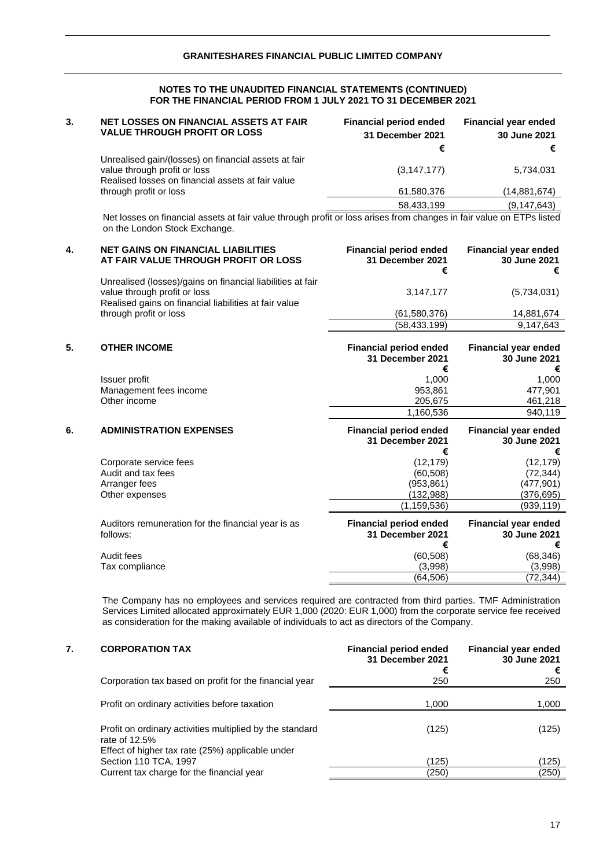| <b>NET LOSSES ON FINANCIAL ASSETS AT FAIR</b> | <b>Financial period ended</b>                                                                                                                    | Financial year ended  |
|-----------------------------------------------|--------------------------------------------------------------------------------------------------------------------------------------------------|-----------------------|
|                                               |                                                                                                                                                  | 30 June 2021          |
|                                               |                                                                                                                                                  | €                     |
| value through profit or loss                  | (3, 147, 177)                                                                                                                                    | 5,734,031             |
| through profit or loss                        | 61,580,376                                                                                                                                       | (14, 881, 674)        |
|                                               | 58,433,199                                                                                                                                       | (9, 147, 643)         |
|                                               | <b>VALUE THROUGH PROFIT OR LOSS</b><br>Unrealised gain/(losses) on financial assets at fair<br>Realised losses on financial assets at fair value | 31 December 2021<br>€ |

Net losses on financial assets at fair value through profit or loss arises from changes in fair value on ETPs listed on the London Stock Exchange.

| 4. | <b>NET GAINS ON FINANCIAL LIABILITIES</b><br>AT FAIR VALUE THROUGH PROFIT OR LOSS                                                                   | <b>Financial period ended</b><br>31 December 2021<br>€ | <b>Financial year ended</b><br>30 June 2021<br>€ |
|----|-----------------------------------------------------------------------------------------------------------------------------------------------------|--------------------------------------------------------|--------------------------------------------------|
|    | Unrealised (losses)/gains on financial liabilities at fair<br>value through profit or loss<br>Realised gains on financial liabilities at fair value | 3,147,177                                              | (5,734,031)                                      |
|    | through profit or loss                                                                                                                              | (61,580,376)                                           | 14,881,674                                       |
|    |                                                                                                                                                     | (58, 433, 199)                                         | 9.147.643                                        |

| 5. | <b>OTHER INCOME</b>    | <b>Financial period ended</b><br>31 December 2021 | <b>Financial year ended</b><br>30 June 2021<br>€ |
|----|------------------------|---------------------------------------------------|--------------------------------------------------|
|    | Issuer profit          | 1.000                                             | 1.000                                            |
|    | Management fees income | 953.861                                           | 477.901                                          |
|    | Other income           | 205.675                                           | 461.218                                          |
|    |                        | 1,160,536                                         | 940.119                                          |

| 6. | <b>ADMINISTRATION EXPENSES</b>                                 | <b>Financial period ended</b><br>31 December 2021<br>€ | <b>Financial year ended</b><br>30 June 2021<br>€ |
|----|----------------------------------------------------------------|--------------------------------------------------------|--------------------------------------------------|
|    | Corporate service fees                                         | (12, 179)                                              | (12, 179)                                        |
|    | Audit and tax fees                                             | (60, 508)                                              | (72, 344)                                        |
|    | Arranger fees                                                  | (953,861)                                              | (477,901)                                        |
|    | Other expenses                                                 | (132,988)                                              | (376,695)                                        |
|    |                                                                | (1,159,536)                                            | (939,119)                                        |
|    | Auditors remuneration for the financial year is as<br>follows: | <b>Financial period ended</b><br>31 December 2021<br>€ | <b>Financial year ended</b><br>30 June 2021<br>€ |
|    | Audit fees                                                     | (60, 508)                                              | (68, 346)                                        |
|    | Tax compliance                                                 | (3.998)                                                | (3,998)                                          |
|    |                                                                | (64.506)                                               | (72,344)                                         |

The Company has no employees and services required are contracted from third parties. TMF Administration Services Limited allocated approximately EUR 1,000 (2020: EUR 1,000) from the corporate service fee received as consideration for the making available of individuals to act as directors of the Company.

# **7. CORPORATION TAX Financial period ended Financial year ended**

|                                                                                                                               | 31 December 2021<br>€ | 30 June 2021<br>€ |
|-------------------------------------------------------------------------------------------------------------------------------|-----------------------|-------------------|
| Corporation tax based on profit for the financial year                                                                        | 250                   | 250               |
| Profit on ordinary activities before taxation                                                                                 | 1,000                 | 1,000             |
| Profit on ordinary activities multiplied by the standard<br>rate of 12.5%<br>Effect of higher tax rate (25%) applicable under | (125)                 | (125)             |
| Section 110 TCA, 1997                                                                                                         | (125)                 | (125)             |
| Current tax charge for the financial year                                                                                     | (250)                 | (250)             |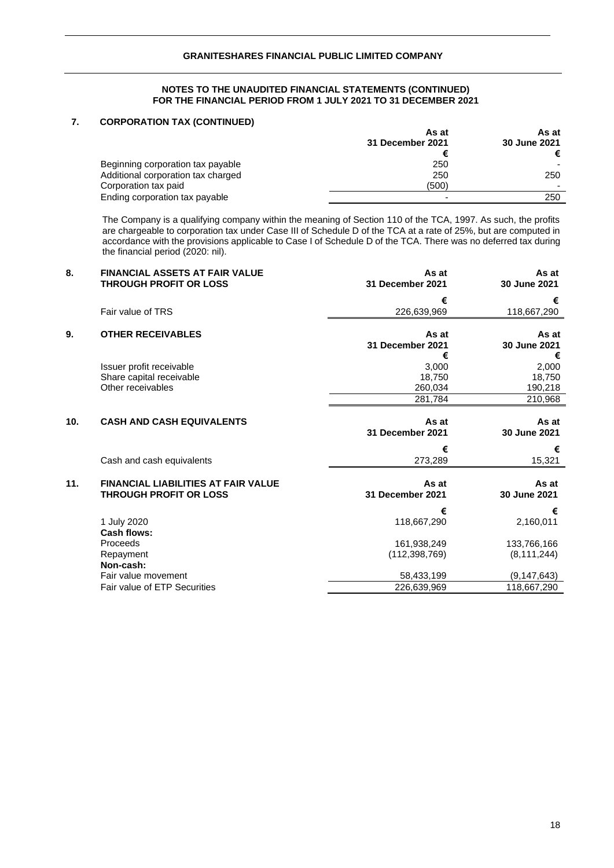# **7. CORPORATION TAX (CONTINUED)**

|                                    | As at            | As at        |
|------------------------------------|------------------|--------------|
|                                    | 31 December 2021 | 30 June 2021 |
|                                    |                  | €            |
| Beginning corporation tax payable  | 250              |              |
| Additional corporation tax charged | 250              | 250          |
| Corporation tax paid               | (500)            |              |
| Ending corporation tax payable     |                  | 250          |

The Company is a qualifying company within the meaning of Section 110 of the TCA, 1997. As such, the profits are chargeable to corporation tax under Case III of Schedule D of the TCA at a rate of 25%, but are computed in accordance with the provisions applicable to Case I of Schedule D of the TCA. There was no deferred tax during the financial period (2020: nil).

| 8.  | <b>FINANCIAL ASSETS AT FAIR VALUE</b><br><b>THROUGH PROFIT OR LOSS</b>      | As at<br>31 December 2021       | As at<br>30 June 2021           |
|-----|-----------------------------------------------------------------------------|---------------------------------|---------------------------------|
|     |                                                                             | €                               | €                               |
|     | Fair value of TRS                                                           | 226,639,969                     | 118,667,290                     |
| 9.  | <b>OTHER RECEIVABLES</b>                                                    | As at<br>31 December 2021       | As at<br>30 June 2021           |
|     | Issuer profit receivable<br>Share capital receivable<br>Other receivables   | €<br>3,000<br>18,750<br>260,034 | €<br>2,000<br>18,750<br>190,218 |
|     |                                                                             | 281,784                         | 210,968                         |
| 10. | <b>CASH AND CASH EQUIVALENTS</b>                                            | As at<br>31 December 2021       | As at<br>30 June 2021           |
|     | Cash and cash equivalents                                                   | €<br>273,289                    | €<br>15,321                     |
| 11. | <b>FINANCIAL LIABILITIES AT FAIR VALUE</b><br><b>THROUGH PROFIT OR LOSS</b> | As at<br>31 December 2021       | As at<br>30 June 2021           |
|     | 1 July 2020                                                                 | €<br>118,667,290                | €<br>2,160,011                  |
|     | Cash flows:<br>Proceeds<br>Repayment                                        | 161,938,249<br>(112, 398, 769)  | 133,766,166<br>(8, 111, 244)    |
|     | Non-cash:<br>Fair value movement                                            | 58,433,199                      | (9, 147, 643)                   |
|     | Fair value of ETP Securities                                                | 226,639,969                     | 118,667,290                     |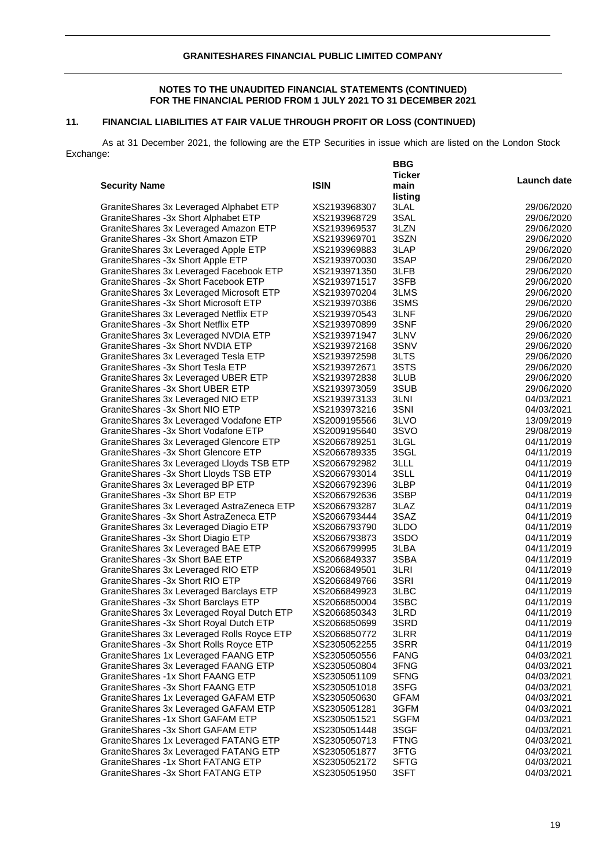# **11. FINANCIAL LIABILITIES AT FAIR VALUE THROUGH PROFIT OR LOSS (CONTINUED)**

As at 31 December 2021, the following are the ETP Securities in issue which are listed on the London Stock Exchange: **BBG** 

|                                            |              | <b>Ticker</b> |                          |
|--------------------------------------------|--------------|---------------|--------------------------|
| <b>Security Name</b>                       | <b>ISIN</b>  | main          | Launch date              |
|                                            |              | listing       |                          |
| GraniteShares 3x Leveraged Alphabet ETP    | XS2193968307 | 3LAL          | 29/06/2020               |
| GraniteShares - 3x Short Alphabet ETP      | XS2193968729 | 3SAL          | 29/06/2020               |
| GraniteShares 3x Leveraged Amazon ETP      | XS2193969537 | 3LZN          | 29/06/2020               |
| GraniteShares -3x Short Amazon ETP         | XS2193969701 | 3SZN          | 29/06/2020               |
| GraniteShares 3x Leveraged Apple ETP       | XS2193969883 | 3LAP          | 29/06/2020               |
| GraniteShares -3x Short Apple ETP          | XS2193970030 | 3SAP          | 29/06/2020               |
| GraniteShares 3x Leveraged Facebook ETP    | XS2193971350 | 3LFB          | 29/06/2020               |
| GraniteShares -3x Short Facebook ETP       | XS2193971517 | 3SFB          | 29/06/2020               |
| GraniteShares 3x Leveraged Microsoft ETP   | XS2193970204 | 3LMS          | 29/06/2020               |
| Granite Shares - 3x Short Microsoft ETP    | XS2193970386 | 3SMS          | 29/06/2020               |
| GraniteShares 3x Leveraged Netflix ETP     | XS2193970543 | 3LNF          | 29/06/2020               |
| GraniteShares -3x Short Netflix ETP        | XS2193970899 | 3SNF          | 29/06/2020               |
| GraniteShares 3x Leveraged NVDIA ETP       | XS2193971947 | 3LNV          | 29/06/2020               |
| GraniteShares -3x Short NVDIA ETP          | XS2193972168 | 3SNV          | 29/06/2020               |
| GraniteShares 3x Leveraged Tesla ETP       | XS2193972598 | 3LTS          | 29/06/2020               |
| GraniteShares -3x Short Tesla ETP          | XS2193972671 | 3STS          | 29/06/2020               |
| GraniteShares 3x Leveraged UBER ETP        | XS2193972838 | 3LUB          | 29/06/2020               |
| GraniteShares -3x Short UBER ETP           |              | 3SUB          | 29/06/2020               |
|                                            | XS2193973059 | 3LNI          |                          |
| GraniteShares 3x Leveraged NIO ETP         | XS2193973133 |               | 04/03/2021               |
| GraniteShares -3x Short NIO ETP            | XS2193973216 | 3SNI          | 04/03/2021               |
| GraniteShares 3x Leveraged Vodafone ETP    | XS2009195566 | 3LVO          | 13/09/2019               |
| GraniteShares -3x Short Vodafone ETP       | XS2009195640 | 3SVO          | 29/08/2019<br>04/11/2019 |
| GraniteShares 3x Leveraged Glencore ETP    | XS2066789251 | 3LGL          |                          |
| GraniteShares -3x Short Glencore ETP       | XS2066789335 | 3SGL          | 04/11/2019               |
| GraniteShares 3x Leveraged Lloyds TSB ETP  | XS2066792982 | 3LLL          | 04/11/2019               |
| GraniteShares -3x Short Lloyds TSB ETP     | XS2066793014 | 3SLL          | 04/11/2019               |
| Granite Shares 3x Leveraged BP ETP         | XS2066792396 | 3LBP          | 04/11/2019               |
| GraniteShares -3x Short BP ETP             | XS2066792636 | 3SBP          | 04/11/2019               |
| GraniteShares 3x Leveraged AstraZeneca ETP | XS2066793287 | 3LAZ          | 04/11/2019               |
| GraniteShares -3x Short AstraZeneca ETP    | XS2066793444 | 3SAZ          | 04/11/2019               |
| GraniteShares 3x Leveraged Diagio ETP      | XS2066793790 | 3LDO          | 04/11/2019               |
| GraniteShares -3x Short Diagio ETP         | XS2066793873 | 3SDO          | 04/11/2019               |
| GraniteShares 3x Leveraged BAE ETP         | XS2066799995 | 3LBA          | 04/11/2019               |
| GraniteShares -3x Short BAE ETP            | XS2066849337 | 3SBA          | 04/11/2019               |
| GraniteShares 3x Leveraged RIO ETP         | XS2066849501 | 3LRI          | 04/11/2019               |
| GraniteShares -3x Short RIO ETP            | XS2066849766 | 3SRI          | 04/11/2019               |
| GraniteShares 3x Leveraged Barclays ETP    | XS2066849923 | 3LBC          | 04/11/2019               |
| GraniteShares -3x Short Barclays ETP       | XS2066850004 | 3SBC          | 04/11/2019               |
| GraniteShares 3x Leveraged Royal Dutch ETP | XS2066850343 | 3LRD          | 04/11/2019               |
| GraniteShares - 3x Short Royal Dutch ETP   | XS2066850699 | 3SRD          | 04/11/2019               |
| GraniteShares 3x Leveraged Rolls Royce ETP | XS2066850772 | 3LRR          | 04/11/2019               |
| GraniteShares -3x Short Rolls Royce ETP    | XS2305052255 | 3SRR          | 04/11/2019               |
| GraniteShares 1x Leveraged FAANG ETP       | XS2305050556 | <b>FANG</b>   | 04/03/2021               |
| GraniteShares 3x Leveraged FAANG ETP       | XS2305050804 | 3FNG          | 04/03/2021               |
| GraniteShares -1x Short FAANG ETP          | XS2305051109 | <b>SFNG</b>   | 04/03/2021               |
| GraniteShares -3x Short FAANG ETP          | XS2305051018 | 3SFG          | 04/03/2021               |
| GraniteShares 1x Leveraged GAFAM ETP       | XS2305050630 | <b>GFAM</b>   | 04/03/2021               |
| GraniteShares 3x Leveraged GAFAM ETP       | XS2305051281 | 3GFM          | 04/03/2021               |
| GraniteShares -1x Short GAFAM ETP          | XS2305051521 | <b>SGFM</b>   | 04/03/2021               |
| GraniteShares -3x Short GAFAM ETP          | XS2305051448 | 3SGF          | 04/03/2021               |
| GraniteShares 1x Leveraged FATANG ETP      | XS2305050713 | <b>FTNG</b>   | 04/03/2021               |
| GraniteShares 3x Leveraged FATANG ETP      | XS2305051877 | 3FTG          | 04/03/2021               |
| GraniteShares -1x Short FATANG ETP         | XS2305052172 | <b>SFTG</b>   | 04/03/2021               |
| GraniteShares -3x Short FATANG ETP         | XS2305051950 | 3SFT          | 04/03/2021               |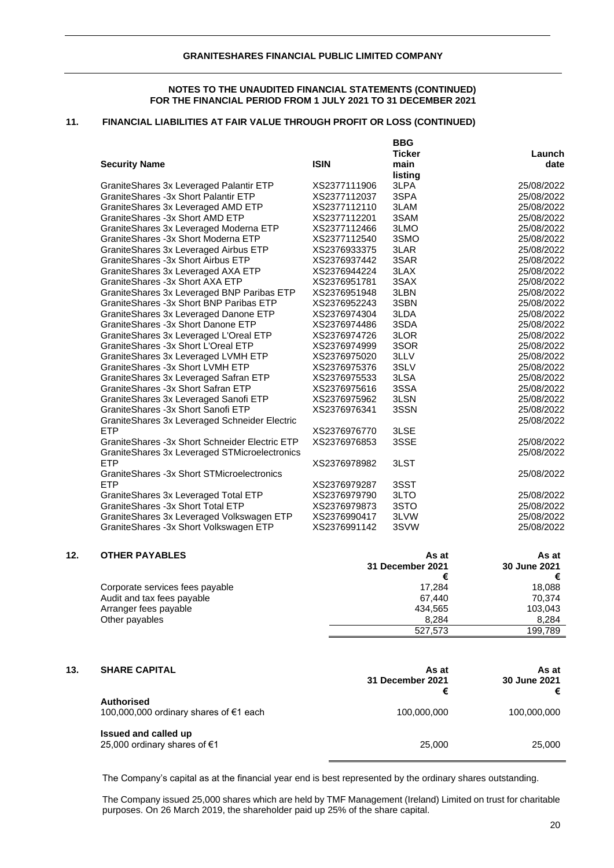**BBG** 

## **11. FINANCIAL LIABILITIES AT FAIR VALUE THROUGH PROFIT OR LOSS (CONTINUED)**

|                                                  |              | טםם           |            |
|--------------------------------------------------|--------------|---------------|------------|
|                                                  |              | <b>Ticker</b> | Launch     |
| <b>Security Name</b>                             | <b>ISIN</b>  | main          | date       |
|                                                  |              | listing       |            |
| GraniteShares 3x Leveraged Palantir ETP          | XS2377111906 | 3LPA          | 25/08/2022 |
| GraniteShares -3x Short Palantir ETP             | XS2377112037 | 3SPA          | 25/08/2022 |
| GraniteShares 3x Leveraged AMD ETP               | XS2377112110 | 3LAM          | 25/08/2022 |
| GraniteShares -3x Short AMD ETP                  | XS2377112201 | 3SAM          | 25/08/2022 |
| GraniteShares 3x Leveraged Moderna ETP           | XS2377112466 | 3LMO          | 25/08/2022 |
| GraniteShares -3x Short Moderna ETP              | XS2377112540 | 3SMO          | 25/08/2022 |
| GraniteShares 3x Leveraged Airbus ETP            | XS2376933375 | 3LAR          | 25/08/2022 |
| GraniteShares -3x Short Airbus ETP               | XS2376937442 | 3SAR          | 25/08/2022 |
| GraniteShares 3x Leveraged AXA ETP               | XS2376944224 | 3LAX          | 25/08/2022 |
| GraniteShares -3x Short AXA ETP                  | XS2376951781 | 3SAX          | 25/08/2022 |
| Granite Shares 3x Leveraged BNP Paribas ETP      | XS2376951948 | 3LBN          | 25/08/2022 |
| Granite Shares - 3x Short BNP Paribas ETP        | XS2376952243 | 3SBN          | 25/08/2022 |
| GraniteShares 3x Leveraged Danone ETP            | XS2376974304 | 3LDA          | 25/08/2022 |
| GraniteShares -3x Short Danone ETP               | XS2376974486 | 3SDA          | 25/08/2022 |
| GraniteShares 3x Leveraged L'Oreal ETP           | XS2376974726 | 3LOR          | 25/08/2022 |
| GraniteShares -3x Short L'Oreal ETP              | XS2376974999 | 3SOR          | 25/08/2022 |
| GraniteShares 3x Leveraged LVMH ETP              | XS2376975020 | 3LLV          | 25/08/2022 |
| GraniteShares -3x Short LVMH ETP                 | XS2376975376 | 3SLV          | 25/08/2022 |
| GraniteShares 3x Leveraged Safran ETP            | XS2376975533 | 3LSA          | 25/08/2022 |
| GraniteShares -3x Short Safran ETP               | XS2376975616 | 3SSA          | 25/08/2022 |
| GraniteShares 3x Leveraged Sanofi ETP            | XS2376975962 | 3LSN          | 25/08/2022 |
| GraniteShares -3x Short Sanofi ETP               | XS2376976341 | 3SSN          | 25/08/2022 |
| Granite Shares 3x Leveraged Schneider Electric   |              |               | 25/08/2022 |
| <b>ETP</b>                                       | XS2376976770 | 3LSE          |            |
| Granite Shares - 3x Short Schneider Electric ETP | XS2376976853 | 3SSE          | 25/08/2022 |
| GraniteShares 3x Leveraged STMicroelectronics    |              |               | 25/08/2022 |
| <b>ETP</b>                                       | XS2376978982 | 3LST          |            |
| GraniteShares -3x Short STMicroelectronics       |              |               | 25/08/2022 |
| <b>ETP</b>                                       | XS2376979287 | 3SST          |            |
| GraniteShares 3x Leveraged Total ETP             | XS2376979790 | 3LTO          | 25/08/2022 |
| GraniteShares -3x Short Total ETP                | XS2376979873 | 3STO          | 25/08/2022 |
| GraniteShares 3x Leveraged Volkswagen ETP        | XS2376990417 | 3LVW          | 25/08/2022 |
| GraniteShares -3x Short Volkswagen ETP           | XS2376991142 | 3SVW          | 25/08/2022 |
|                                                  |              |               |            |

#### **12. OTHER PAYABLES As at As at As at As at**

|                                 | 31 December 2021 | 30 June 2021 |
|---------------------------------|------------------|--------------|
|                                 |                  |              |
| Corporate services fees payable | 17.284           | 18.088       |
| Audit and tax fees payable      | 67.440           | 70.374       |
| Arranger fees payable           | 434.565          | 103,043      |
| Other payables                  | 8.284            | 8.284        |
|                                 | 527.573          | 199.789      |

| 13. | <b>SHARE CAPITAL</b>                                        | As at<br>31 December 2021<br>€ | As at<br>30 June 2021<br>€ |
|-----|-------------------------------------------------------------|--------------------------------|----------------------------|
|     | <b>Authorised</b><br>100,000,000 ordinary shares of €1 each | 100,000,000                    | 100,000,000                |
|     | Issued and called up<br>25,000 ordinary shares of €1        | 25,000                         | 25,000                     |

The Company's capital as at the financial year end is best represented by the ordinary shares outstanding.

The Company issued 25,000 shares which are held by TMF Management (Ireland) Limited on trust for charitable purposes. On 26 March 2019, the shareholder paid up 25% of the share capital.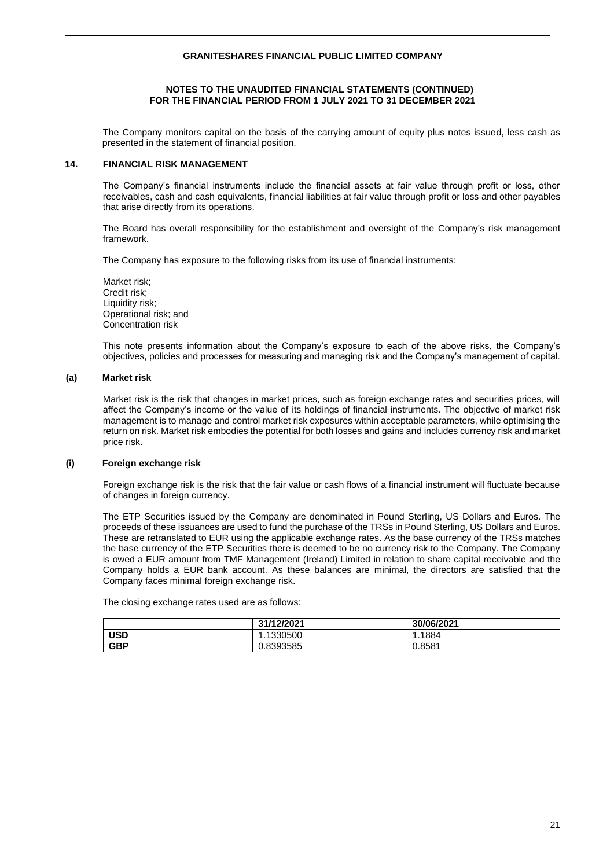## **NOTES TO THE UNAUDITED FINANCIAL STATEMENTS (CONTINUED) FOR THE FINANCIAL PERIOD FROM 1 JULY 2021 TO 31 DECEMBER 2021**

The Company monitors capital on the basis of the carrying amount of equity plus notes issued, less cash as presented in the statement of financial position.

## **14. FINANCIAL RISK MANAGEMENT**

The Company's financial instruments include the financial assets at fair value through profit or loss, other receivables, cash and cash equivalents, financial liabilities at fair value through profit or loss and other payables that arise directly from its operations.

The Board has overall responsibility for the establishment and oversight of the Company's risk management framework.

The Company has exposure to the following risks from its use of financial instruments:

Market risk; Credit risk; Liquidity risk; Operational risk; and Concentration risk

This note presents information about the Company's exposure to each of the above risks, the Company's objectives, policies and processes for measuring and managing risk and the Company's management of capital.

## **(a) Market risk**

Market risk is the risk that changes in market prices, such as foreign exchange rates and securities prices, will affect the Company's income or the value of its holdings of financial instruments. The objective of market risk management is to manage and control market risk exposures within acceptable parameters, while optimising the return on risk. Market risk embodies the potential for both losses and gains and includes currency risk and market price risk.

## **(i) Foreign exchange risk**

Foreign exchange risk is the risk that the fair value or cash flows of a financial instrument will fluctuate because of changes in foreign currency.

The ETP Securities issued by the Company are denominated in Pound Sterling, US Dollars and Euros. The proceeds of these issuances are used to fund the purchase of the TRSs in Pound Sterling, US Dollars and Euros. These are retranslated to EUR using the applicable exchange rates. As the base currency of the TRSs matches the base currency of the ETP Securities there is deemed to be no currency risk to the Company. The Company is owed a EUR amount from TMF Management (Ireland) Limited in relation to share capital receivable and the Company holds a EUR bank account. As these balances are minimal, the directors are satisfied that the Company faces minimal foreign exchange risk.

The closing exchange rates used are as follows:

|            | 31/12/2021 | 30/06/2021 |
|------------|------------|------------|
| <b>USD</b> | .1330500   | 1884،،     |
| <b>GBP</b> | 0.8393585  | 0.8581     |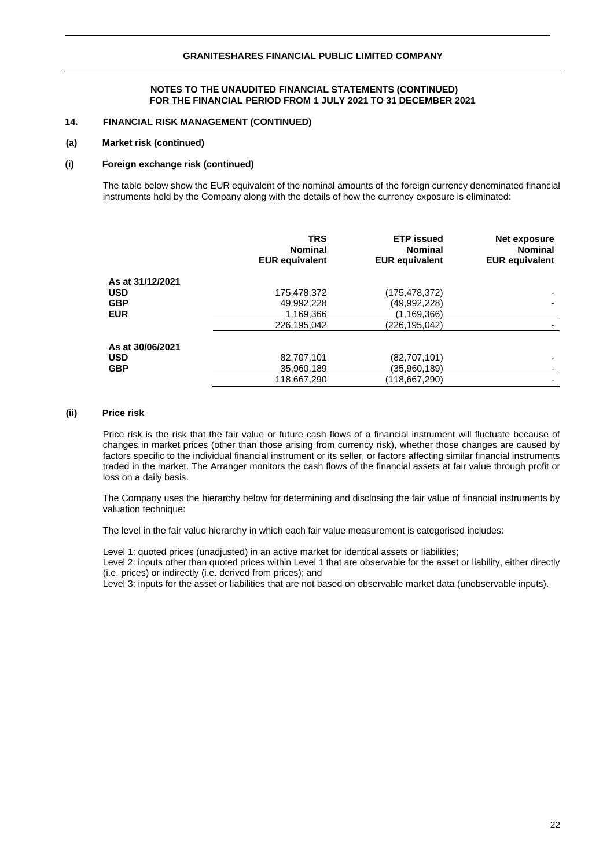## **14. FINANCIAL RISK MANAGEMENT (CONTINUED)**

#### **(a) Market risk (continued)**

#### **(i) Foreign exchange risk (continued)**

The table below show the EUR equivalent of the nominal amounts of the foreign currency denominated financial instruments held by the Company along with the details of how the currency exposure is eliminated:

|                  | <b>TRS</b><br><b>Nominal</b><br><b>EUR equivalent</b> | <b>ETP</b> issued<br><b>Nominal</b><br><b>EUR equivalent</b> | Net exposure<br><b>Nominal</b><br><b>EUR equivalent</b> |
|------------------|-------------------------------------------------------|--------------------------------------------------------------|---------------------------------------------------------|
| As at 31/12/2021 |                                                       |                                                              |                                                         |
| USD              | 175,478,372                                           | (175, 478, 372)                                              |                                                         |
| <b>GBP</b>       | 49,992,228                                            | (49,992,228)                                                 |                                                         |
| <b>EUR</b>       | 1,169,366                                             | (1,169,366)                                                  |                                                         |
|                  | 226,195,042                                           | (226, 195, 042)                                              |                                                         |
| As at 30/06/2021 |                                                       |                                                              |                                                         |
| USD              | 82,707,101                                            | (82,707,101)                                                 |                                                         |
| GBP              | 35,960,189                                            | (35,960,189)                                                 |                                                         |
|                  | 118,667,290                                           | (118,667,290)                                                |                                                         |

## **(ii) Price risk**

Price risk is the risk that the fair value or future cash flows of a financial instrument will fluctuate because of changes in market prices (other than those arising from currency risk), whether those changes are caused by factors specific to the individual financial instrument or its seller, or factors affecting similar financial instruments traded in the market. The Arranger monitors the cash flows of the financial assets at fair value through profit or loss on a daily basis.

The Company uses the hierarchy below for determining and disclosing the fair value of financial instruments by valuation technique:

The level in the fair value hierarchy in which each fair value measurement is categorised includes:

Level 1: quoted prices (unadjusted) in an active market for identical assets or liabilities;

Level 2: inputs other than quoted prices within Level 1 that are observable for the asset or liability, either directly (i.e. prices) or indirectly (i.e. derived from prices); and

Level 3: inputs for the asset or liabilities that are not based on observable market data (unobservable inputs).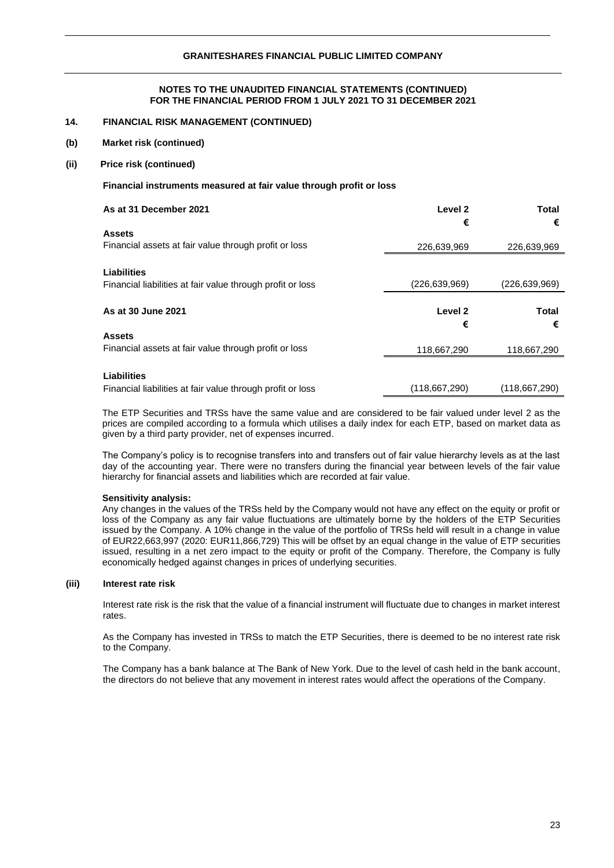## **14. FINANCIAL RISK MANAGEMENT (CONTINUED)**

- **(b) Market risk (continued)**
- **(ii) Price risk (continued)**

## **Financial instruments measured at fair value through profit or loss**

| As at 31 December 2021                                     | Level 2<br>€       | Total<br>€      |
|------------------------------------------------------------|--------------------|-----------------|
| <b>Assets</b>                                              |                    |                 |
| Financial assets at fair value through profit or loss      | 226,639,969        | 226,639,969     |
| <b>Liabilities</b>                                         |                    |                 |
| Financial liabilities at fair value through profit or loss | (226,639,969)      | (226, 639, 969) |
|                                                            |                    |                 |
|                                                            |                    |                 |
| As at 30 June 2021                                         | Level <sub>2</sub> | <b>Total</b>    |
|                                                            | €                  | €               |
| <b>Assets</b>                                              |                    |                 |
| Financial assets at fair value through profit or loss      | 118,667,290        | 118,667,290     |
|                                                            |                    |                 |
| Liabilities                                                |                    |                 |

The ETP Securities and TRSs have the same value and are considered to be fair valued under level 2 as the prices are compiled according to a formula which utilises a daily index for each ETP, based on market data as given by a third party provider, net of expenses incurred.

The Company's policy is to recognise transfers into and transfers out of fair value hierarchy levels as at the last day of the accounting year. There were no transfers during the financial year between levels of the fair value hierarchy for financial assets and liabilities which are recorded at fair value.

#### **Sensitivity analysis:**

Any changes in the values of the TRSs held by the Company would not have any effect on the equity or profit or loss of the Company as any fair value fluctuations are ultimately borne by the holders of the ETP Securities issued by the Company. A 10% change in the value of the portfolio of TRSs held will result in a change in value of EUR22,663,997 (2020: EUR11,866,729) This will be offset by an equal change in the value of ETP securities issued, resulting in a net zero impact to the equity or profit of the Company. Therefore, the Company is fully economically hedged against changes in prices of underlying securities.

#### **(iii) Interest rate risk**

Interest rate risk is the risk that the value of a financial instrument will fluctuate due to changes in market interest rates.

As the Company has invested in TRSs to match the ETP Securities, there is deemed to be no interest rate risk to the Company.

The Company has a bank balance at The Bank of New York. Due to the level of cash held in the bank account, the directors do not believe that any movement in interest rates would affect the operations of the Company.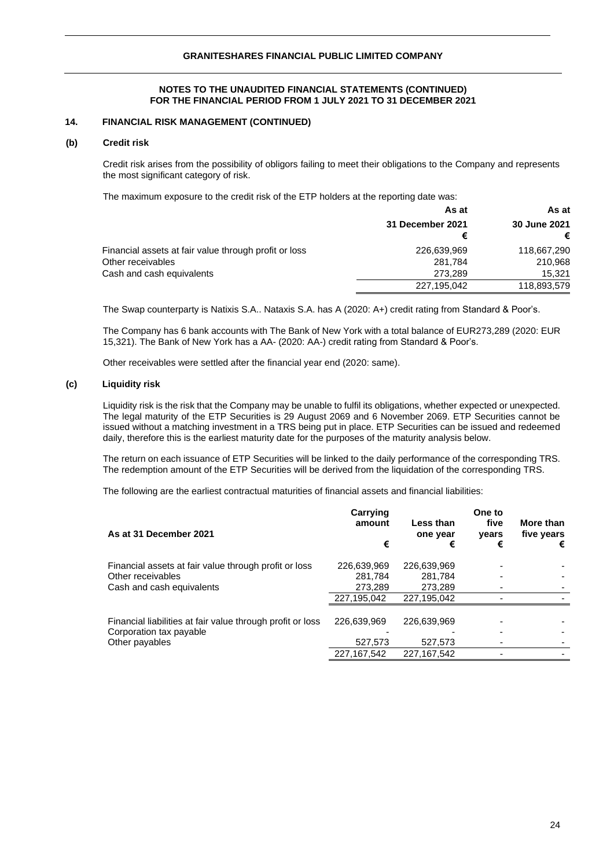## **14. FINANCIAL RISK MANAGEMENT (CONTINUED)**

#### **(b) Credit risk**

Credit risk arises from the possibility of obligors failing to meet their obligations to the Company and represents the most significant category of risk.

The maximum exposure to the credit risk of the ETP holders at the reporting date was:

|                                                       | As at            | As at        |
|-------------------------------------------------------|------------------|--------------|
|                                                       | 31 December 2021 | 30 June 2021 |
|                                                       | €                |              |
| Financial assets at fair value through profit or loss | 226,639,969      | 118,667,290  |
| Other receivables                                     | 281.784          | 210,968      |
| Cash and cash equivalents                             | 273.289          | 15.321       |
|                                                       | 227,195,042      | 118,893,579  |

The Swap counterparty is Natixis S.A.. Nataxis S.A. has A (2020: A+) credit rating from Standard & Poor's.

The Company has 6 bank accounts with The Bank of New York with a total balance of EUR273,289 (2020: EUR 15,321). The Bank of New York has a AA- (2020: AA-) credit rating from Standard & Poor's.

Other receivables were settled after the financial year end (2020: same).

#### **(c) Liquidity risk**

Liquidity risk is the risk that the Company may be unable to fulfil its obligations, whether expected or unexpected. The legal maturity of the ETP Securities is 29 August 2069 and 6 November 2069. ETP Securities cannot be issued without a matching investment in a TRS being put in place. ETP Securities can be issued and redeemed daily, therefore this is the earliest maturity date for the purposes of the maturity analysis below.

The return on each issuance of ETP Securities will be linked to the daily performance of the corresponding TRS. The redemption amount of the ETP Securities will be derived from the liquidation of the corresponding TRS.

The following are the earliest contractual maturities of financial assets and financial liabilities:

| As at 31 December 2021                                                                | Carrying<br>amount<br>€ | Less than<br>one year<br>€ | One to<br>five<br>years<br>€ | More than<br>five years<br>€ |
|---------------------------------------------------------------------------------------|-------------------------|----------------------------|------------------------------|------------------------------|
| Financial assets at fair value through profit or loss                                 | 226,639,969             | 226,639,969                |                              |                              |
| Other receivables                                                                     | 281,784                 | 281.784                    |                              |                              |
| Cash and cash equivalents                                                             | 273,289                 | 273,289                    |                              |                              |
|                                                                                       | 227,195,042             | 227,195,042                |                              |                              |
| Financial liabilities at fair value through profit or loss<br>Corporation tax payable | 226,639,969             | 226,639,969                |                              |                              |
| Other payables                                                                        | 527,573                 | 527.573                    |                              |                              |
|                                                                                       | 227, 167, 542           | 227, 167, 542              |                              |                              |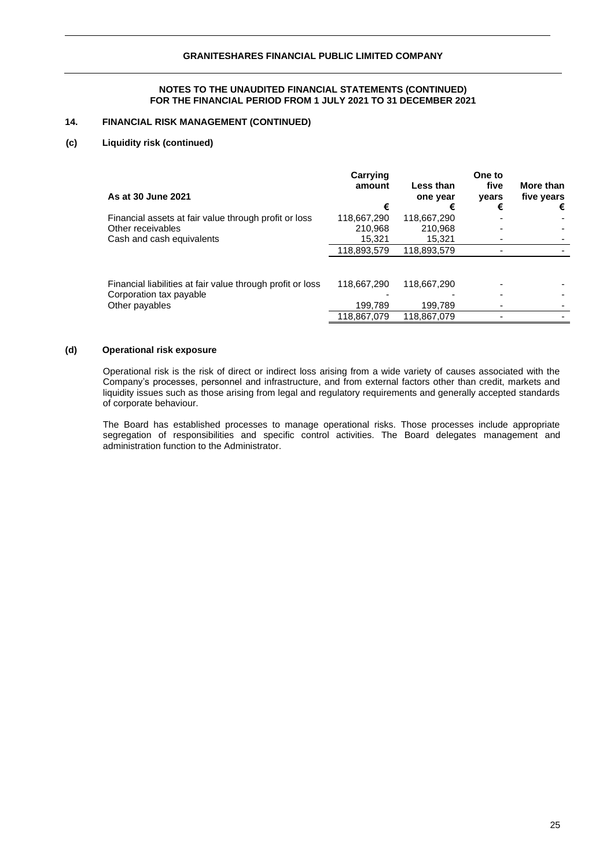## **14. FINANCIAL RISK MANAGEMENT (CONTINUED)**

## **(c) Liquidity risk (continued)**

|                                                            | Carrying<br>amount | Less than   | One to<br>five | More than  |
|------------------------------------------------------------|--------------------|-------------|----------------|------------|
| As at 30 June 2021                                         |                    | one year    | years          | five years |
|                                                            | €                  | €           | €              | €          |
| Financial assets at fair value through profit or loss      | 118,667,290        | 118,667,290 |                |            |
| Other receivables                                          | 210.968            | 210.968     |                |            |
| Cash and cash equivalents                                  | 15,321             | 15.321      |                |            |
|                                                            | 118,893,579        | 118.893.579 |                |            |
|                                                            |                    |             |                |            |
| Financial liabilities at fair value through profit or loss | 118,667,290        | 118,667,290 |                |            |
| Corporation tax payable                                    |                    |             |                |            |
| Other payables                                             | 199.789            | 199.789     |                |            |
|                                                            | 118,867,079        | 118,867,079 |                |            |

#### **(d) Operational risk exposure**

Operational risk is the risk of direct or indirect loss arising from a wide variety of causes associated with the Company's processes, personnel and infrastructure, and from external factors other than credit, markets and liquidity issues such as those arising from legal and regulatory requirements and generally accepted standards of corporate behaviour.

The Board has established processes to manage operational risks. Those processes include appropriate segregation of responsibilities and specific control activities. The Board delegates management and administration function to the Administrator.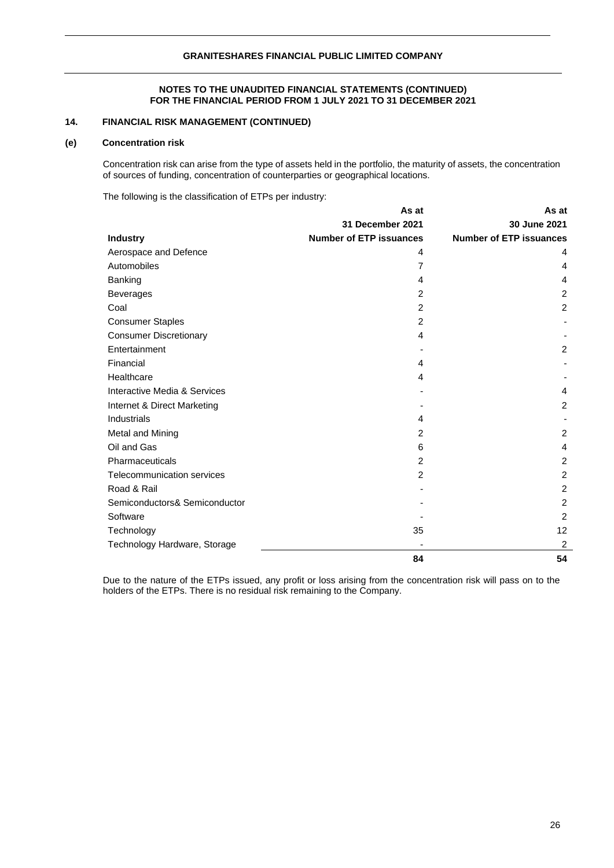# **14. FINANCIAL RISK MANAGEMENT (CONTINUED)**

#### **(e) Concentration risk**

Concentration risk can arise from the type of assets held in the portfolio, the maturity of assets, the concentration of sources of funding, concentration of counterparties or geographical locations.

The following is the classification of ETPs per industry:

|                                   | As at                          | As at                          |
|-----------------------------------|--------------------------------|--------------------------------|
|                                   | 31 December 2021               | 30 June 2021                   |
| <b>Industry</b>                   | <b>Number of ETP issuances</b> | <b>Number of ETP issuances</b> |
| Aerospace and Defence             | 4                              | 4                              |
| Automobiles                       | 7                              | 4                              |
| Banking                           | 4                              | 4                              |
| <b>Beverages</b>                  | 2                              | $\overline{2}$                 |
| Coal                              | 2                              | $\overline{c}$                 |
| <b>Consumer Staples</b>           | 2                              |                                |
| <b>Consumer Discretionary</b>     | 4                              |                                |
| Entertainment                     |                                | $\overline{2}$                 |
| Financial                         | 4                              |                                |
| Healthcare                        | 4                              |                                |
| Interactive Media & Services      |                                | 4                              |
| Internet & Direct Marketing       |                                | $\overline{c}$                 |
| Industrials                       | 4                              |                                |
| Metal and Mining                  | 2                              | $\overline{2}$                 |
| Oil and Gas                       | 6                              | 4                              |
| Pharmaceuticals                   | 2                              | $\overline{2}$                 |
| <b>Telecommunication services</b> | 2                              | $\overline{2}$                 |
| Road & Rail                       |                                | $\overline{2}$                 |
| Semiconductors& Semiconductor     |                                | $\overline{c}$                 |
| Software                          |                                | 2                              |
| Technology                        | 35                             | 12                             |
| Technology Hardware, Storage      |                                | $\overline{2}$                 |
|                                   | 84                             | 54                             |

Due to the nature of the ETPs issued, any profit or loss arising from the concentration risk will pass on to the holders of the ETPs. There is no residual risk remaining to the Company.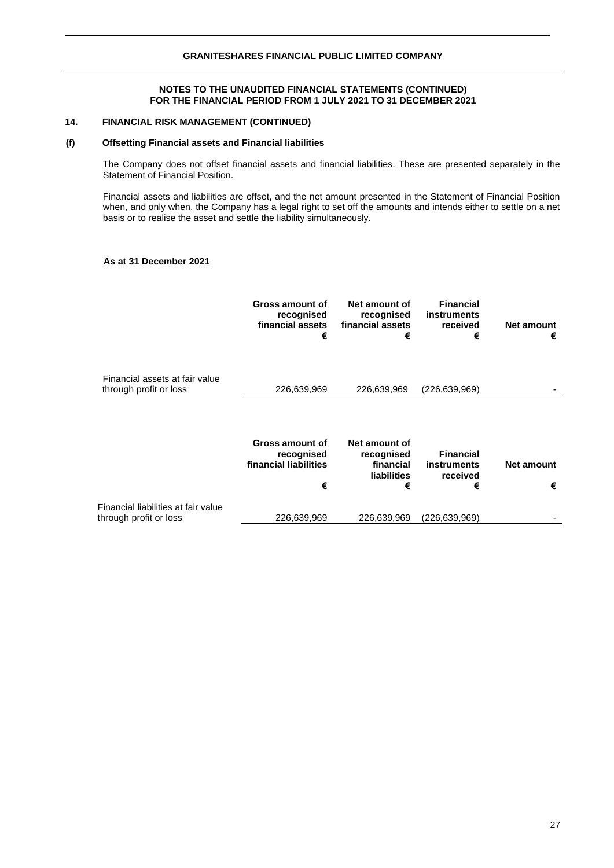## **14. FINANCIAL RISK MANAGEMENT (CONTINUED)**

## **(f) Offsetting Financial assets and Financial liabilities**

The Company does not offset financial assets and financial liabilities. These are presented separately in the Statement of Financial Position.

Financial assets and liabilities are offset, and the net amount presented in the Statement of Financial Position when, and only when, the Company has a legal right to set off the amounts and intends either to settle on a net basis or to realise the asset and settle the liability simultaneously.

## **As at 31 December 2021**

|                                                               | Gross amount of<br>recognised<br>financial assets<br>€      | Net amount of<br>recognised<br>financial assets<br>€                | <b>Financial</b><br>instruments<br>received<br>€        | Net amount<br>€        |
|---------------------------------------------------------------|-------------------------------------------------------------|---------------------------------------------------------------------|---------------------------------------------------------|------------------------|
| Financial assets at fair value<br>through profit or loss      | 226,639,969                                                 | 226,639,969                                                         | (226,639,969)                                           |                        |
|                                                               | Gross amount of<br>recognised<br>financial liabilities<br>€ | Net amount of<br>recognised<br>financial<br><b>liabilities</b><br>€ | <b>Financial</b><br><b>instruments</b><br>received<br>€ | <b>Net amount</b><br>€ |
| Financial liabilities at fair value<br>through profit or loss | 226,639,969                                                 | 226,639,969                                                         | (226,639,969)                                           |                        |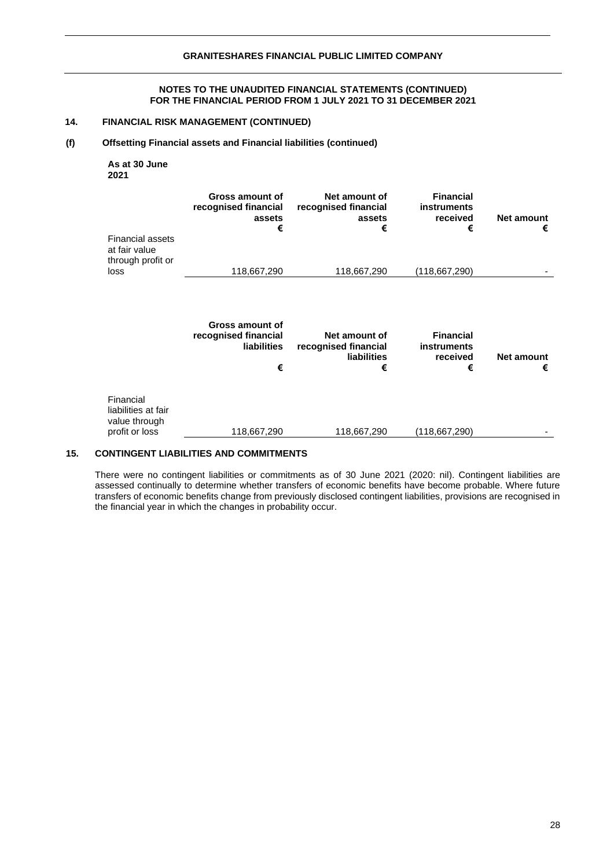## **14. FINANCIAL RISK MANAGEMENT (CONTINUED)**

## **(f) Offsetting Financial assets and Financial liabilities (continued)**

**As at 30 June 2021**

| <b>Financial assets</b><br>at fair value                            | Gross amount of<br>recognised financial<br>assets<br>€             | Net amount of<br>recognised financial<br>assets<br>€             | <b>Financial</b><br><b>instruments</b><br>received<br>€ | <b>Net amount</b><br>€ |
|---------------------------------------------------------------------|--------------------------------------------------------------------|------------------------------------------------------------------|---------------------------------------------------------|------------------------|
| through profit or<br>loss                                           | 118,667,290                                                        | 118,667,290                                                      | (118,667,290)                                           |                        |
|                                                                     | Gross amount of<br>recognised financial<br><b>liabilities</b><br>€ | Net amount of<br>recognised financial<br><b>liabilities</b><br>€ | <b>Financial</b><br>instruments<br>received<br>€        | <b>Net amount</b><br>€ |
| Financial<br>liabilities at fair<br>value through<br>profit or loss | 118,667,290                                                        | 118,667,290                                                      | (118,667,290)                                           |                        |

## **15. CONTINGENT LIABILITIES AND COMMITMENTS**

There were no contingent liabilities or commitments as of 30 June 2021 (2020: nil). Contingent liabilities are assessed continually to determine whether transfers of economic benefits have become probable. Where future transfers of economic benefits change from previously disclosed contingent liabilities, provisions are recognised in the financial year in which the changes in probability occur.